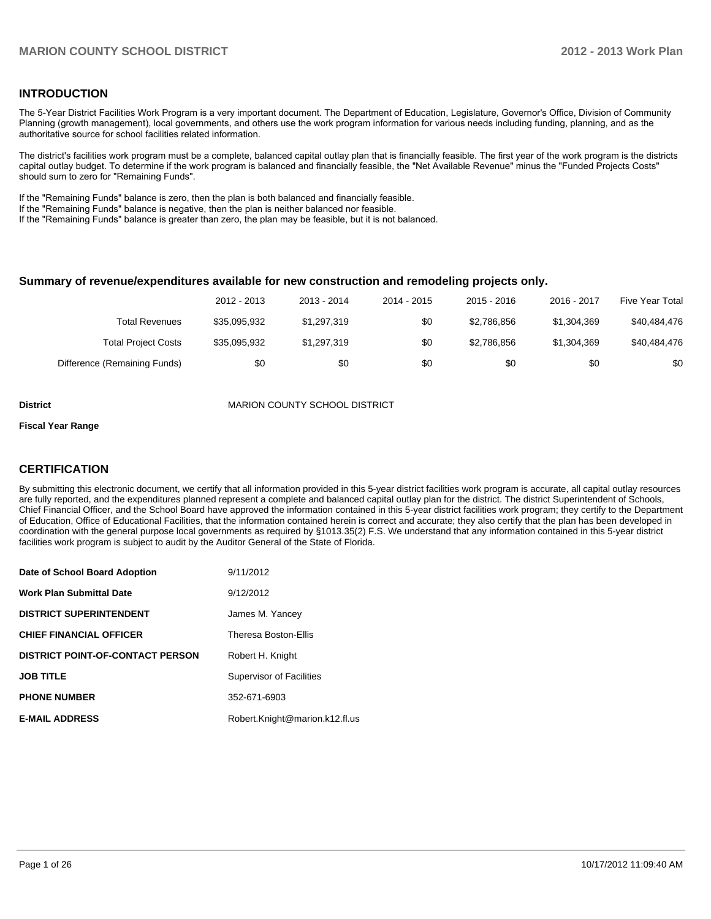#### **INTRODUCTION**

The 5-Year District Facilities Work Program is a very important document. The Department of Education, Legislature, Governor's Office, Division of Community Planning (growth management), local governments, and others use the work program information for various needs including funding, planning, and as the authoritative source for school facilities related information.

The district's facilities work program must be a complete, balanced capital outlay plan that is financially feasible. The first year of the work program is the districts capital outlay budget. To determine if the work program is balanced and financially feasible, the "Net Available Revenue" minus the "Funded Projects Costs" should sum to zero for "Remaining Funds".

If the "Remaining Funds" balance is zero, then the plan is both balanced and financially feasible.

If the "Remaining Funds" balance is negative, then the plan is neither balanced nor feasible.

If the "Remaining Funds" balance is greater than zero, the plan may be feasible, but it is not balanced.

#### **Summary of revenue/expenditures available for new construction and remodeling projects only.**

| Five Year Total | 2016 - 2017 | $2015 - 2016$ | 2014 - 2015 | 2013 - 2014 | 2012 - 2013  |                              |
|-----------------|-------------|---------------|-------------|-------------|--------------|------------------------------|
| \$40,484,476    | \$1.304.369 | \$2.786.856   | \$0         | \$1.297.319 | \$35.095.932 | Total Revenues               |
| \$40.484.476    | \$1.304.369 | \$2.786.856   | \$0         | \$1.297.319 | \$35.095.932 | <b>Total Project Costs</b>   |
| \$0             | \$0         | \$0           | \$0         | \$0         | \$0          | Difference (Remaining Funds) |

**District MARION COUNTY SCHOOL DISTRICT** 

#### **Fiscal Year Range**

#### **CERTIFICATION**

By submitting this electronic document, we certify that all information provided in this 5-year district facilities work program is accurate, all capital outlay resources are fully reported, and the expenditures planned represent a complete and balanced capital outlay plan for the district. The district Superintendent of Schools, Chief Financial Officer, and the School Board have approved the information contained in this 5-year district facilities work program; they certify to the Department of Education, Office of Educational Facilities, that the information contained herein is correct and accurate; they also certify that the plan has been developed in coordination with the general purpose local governments as required by §1013.35(2) F.S. We understand that any information contained in this 5-year district facilities work program is subject to audit by the Auditor General of the State of Florida.

| Date of School Board Adoption           | 9/11/2012                       |
|-----------------------------------------|---------------------------------|
| <b>Work Plan Submittal Date</b>         | 9/12/2012                       |
| <b>DISTRICT SUPERINTENDENT</b>          | James M. Yancey                 |
| <b>CHIEF FINANCIAL OFFICER</b>          | Theresa Boston-Ellis            |
| <b>DISTRICT POINT-OF-CONTACT PERSON</b> | Robert H. Knight                |
| <b>JOB TITLE</b>                        | <b>Supervisor of Facilities</b> |
| <b>PHONE NUMBER</b>                     | 352-671-6903                    |
| <b>E-MAIL ADDRESS</b>                   | Robert.Knight@marion.k12.fl.us  |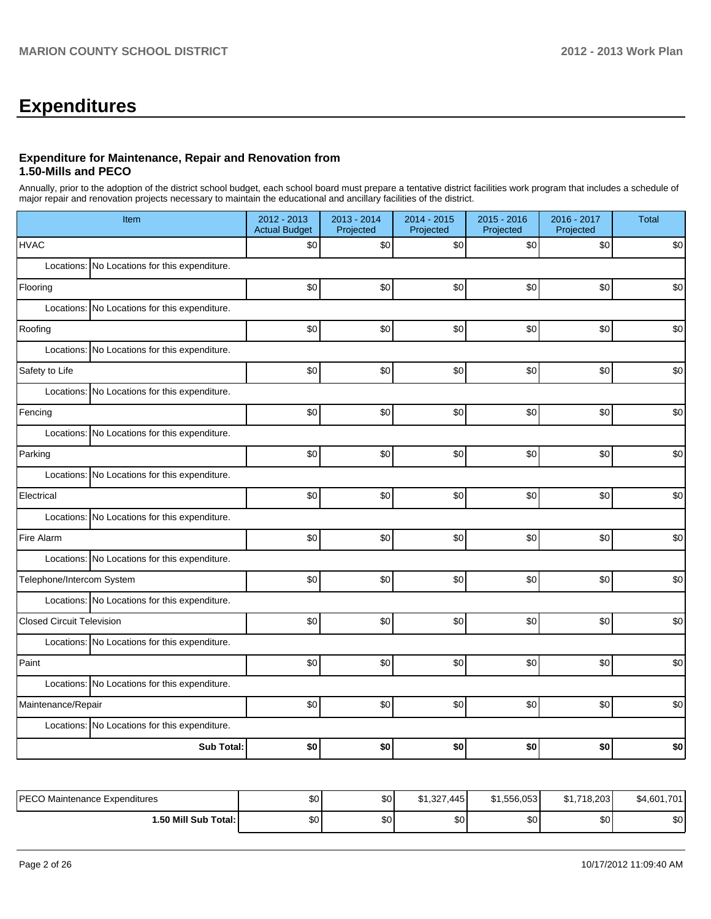# **Expenditures**

### **Expenditure for Maintenance, Repair and Renovation from 1.50-Mills and PECO**

Annually, prior to the adoption of the district school budget, each school board must prepare a tentative district facilities work program that includes a schedule of major repair and renovation projects necessary to maintain the educational and ancillary facilities of the district.

| Item                                             | 2012 - 2013<br><b>Actual Budget</b> | 2013 - 2014<br>Projected | 2014 - 2015<br>Projected | 2015 - 2016<br>Projected | 2016 - 2017<br>Projected | <b>Total</b> |  |  |
|--------------------------------------------------|-------------------------------------|--------------------------|--------------------------|--------------------------|--------------------------|--------------|--|--|
| <b>HVAC</b>                                      | \$0                                 | \$0                      | \$0                      | \$0                      | \$0                      | \$0          |  |  |
| Locations: No Locations for this expenditure.    |                                     |                          |                          |                          |                          |              |  |  |
| Flooring                                         | \$0                                 | \$0                      | \$0                      | \$0                      | \$0                      | \$0          |  |  |
| Locations: No Locations for this expenditure.    |                                     |                          |                          |                          |                          |              |  |  |
| Roofing                                          | \$0                                 | \$0                      | \$0                      | \$0                      | \$0                      | \$0          |  |  |
| Locations:<br>No Locations for this expenditure. |                                     |                          |                          |                          |                          |              |  |  |
| Safety to Life                                   | \$0                                 | \$0                      | \$0                      | \$0                      | \$0                      | \$0          |  |  |
| Locations: No Locations for this expenditure.    |                                     |                          |                          |                          |                          |              |  |  |
| Fencing                                          | \$0                                 | \$0                      | 30                       | \$0                      | \$0                      | \$0          |  |  |
| Locations: No Locations for this expenditure.    |                                     |                          |                          |                          |                          |              |  |  |
| Parking                                          | \$0                                 | \$0                      | \$0                      | \$0                      | \$0                      | \$0          |  |  |
| Locations: No Locations for this expenditure.    |                                     |                          |                          |                          |                          |              |  |  |
| Electrical                                       | \$0                                 | \$0                      | \$0                      | \$0                      | \$0                      | \$0          |  |  |
| Locations: No Locations for this expenditure.    |                                     |                          |                          |                          |                          |              |  |  |
| Fire Alarm                                       | \$0                                 | \$0                      | 30                       | \$0                      | \$0                      | \$0          |  |  |
| Locations: No Locations for this expenditure.    |                                     |                          |                          |                          |                          |              |  |  |
| Telephone/Intercom System                        | \$0                                 | \$0                      | \$0                      | \$0                      | \$0                      | \$0          |  |  |
| Locations: No Locations for this expenditure.    |                                     |                          |                          |                          |                          |              |  |  |
| <b>Closed Circuit Television</b>                 | \$0                                 | \$0                      | \$0                      | \$0                      | \$0                      | \$0          |  |  |
| Locations: No Locations for this expenditure.    |                                     |                          |                          |                          |                          |              |  |  |
| Paint                                            | \$0                                 | \$0                      | \$0                      | \$0                      | \$0                      | \$0          |  |  |
| Locations: No Locations for this expenditure.    |                                     |                          |                          |                          |                          |              |  |  |
| Maintenance/Repair                               | \$0                                 | \$0                      | \$0                      | \$0]                     | \$0                      | \$0          |  |  |
| Locations: No Locations for this expenditure.    |                                     |                          |                          |                          |                          |              |  |  |
| <b>Sub Total:</b>                                | \$0                                 | \$0                      | \$0                      | \$0                      | \$0                      | \$0          |  |  |

| PECO Maintenance Expenditures | \$0 | \$0 | $$1,327$ .<br>.445 | \$1.556.053 | .718.203 <b>I</b><br>\$1. | \$4,601,701 |
|-------------------------------|-----|-----|--------------------|-------------|---------------------------|-------------|
| 1.50 Mill Sub Total:          | \$0 | \$0 | \$0                | \$0         | \$0 <sub>1</sub>          | ጣ<br>ΦU     |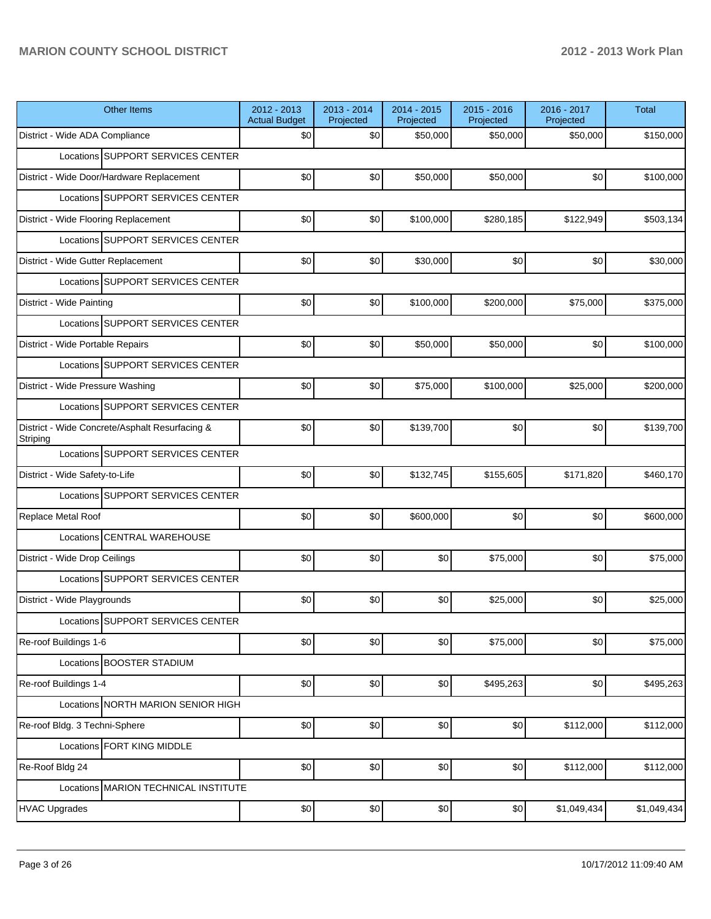| <b>Other Items</b>                                         | 2012 - 2013<br><b>Actual Budget</b> | 2013 - 2014<br>Projected | 2014 - 2015<br>Projected | $2015 - 2016$<br>Projected | 2016 - 2017<br>Projected | Total       |
|------------------------------------------------------------|-------------------------------------|--------------------------|--------------------------|----------------------------|--------------------------|-------------|
| District - Wide ADA Compliance                             | \$0                                 | \$0                      | \$50,000                 | \$50,000                   | \$50,000                 | \$150,000   |
| Locations SUPPORT SERVICES CENTER                          |                                     |                          |                          |                            |                          |             |
| District - Wide Door/Hardware Replacement                  | \$0                                 | \$0                      | \$50,000                 | \$50,000                   | \$0                      | \$100,000   |
| Locations SUPPORT SERVICES CENTER                          |                                     |                          |                          |                            |                          |             |
| District - Wide Flooring Replacement                       | \$0                                 | \$0                      | \$100,000                | \$280,185                  | \$122,949                | \$503,134   |
| Locations SUPPORT SERVICES CENTER                          |                                     |                          |                          |                            |                          |             |
| District - Wide Gutter Replacement                         | \$0                                 | \$0                      | \$30,000                 | \$0                        | \$0                      | \$30,000    |
| Locations SUPPORT SERVICES CENTER                          |                                     |                          |                          |                            |                          |             |
| District - Wide Painting                                   | \$0                                 | \$0                      | \$100,000                | \$200,000                  | \$75,000                 | \$375,000   |
| Locations SUPPORT SERVICES CENTER                          |                                     |                          |                          |                            |                          |             |
| District - Wide Portable Repairs                           | \$0                                 | \$0                      | \$50,000                 | \$50,000                   | \$0                      | \$100,000   |
| Locations SUPPORT SERVICES CENTER                          |                                     |                          |                          |                            |                          |             |
| District - Wide Pressure Washing                           | \$0                                 | \$0                      | \$75,000                 | \$100,000                  | \$25,000                 | \$200,000   |
| Locations SUPPORT SERVICES CENTER                          |                                     |                          |                          |                            |                          |             |
| District - Wide Concrete/Asphalt Resurfacing &<br>Striping | \$0                                 | \$0                      | \$139,700                | \$0                        | \$0                      | \$139,700   |
| Locations SUPPORT SERVICES CENTER                          |                                     |                          |                          |                            |                          |             |
| District - Wide Safety-to-Life                             | \$0                                 | \$0                      | \$132,745                | \$155,605                  | \$171,820                | \$460,170   |
| Locations SUPPORT SERVICES CENTER                          |                                     |                          |                          |                            |                          |             |
| Replace Metal Roof                                         | \$0                                 | \$0                      | \$600,000                | \$0                        | \$0                      | \$600,000   |
| Locations CENTRAL WAREHOUSE                                |                                     |                          |                          |                            |                          |             |
| District - Wide Drop Ceilings                              | \$0                                 | \$0                      | \$0                      | \$75,000                   | \$0                      | \$75,000    |
| Locations SUPPORT SERVICES CENTER                          |                                     |                          |                          |                            |                          |             |
| District - Wide Playgrounds                                | \$0                                 | \$0                      | \$0                      | \$25,000                   | \$0                      | \$25,000    |
| Locations SUPPORT SERVICES CENTER                          |                                     |                          |                          |                            |                          |             |
| Re-roof Buildings 1-6                                      | \$0                                 | \$0                      | \$0                      | \$75,000                   | \$0                      | \$75,000    |
| Locations BOOSTER STADIUM                                  |                                     |                          |                          |                            |                          |             |
| Re-roof Buildings 1-4                                      | \$0                                 | \$0                      | \$0                      | \$495,263                  | \$0                      | \$495,263   |
| Locations NORTH MARION SENIOR HIGH                         |                                     |                          |                          |                            |                          |             |
| Re-roof Bldg. 3 Techni-Sphere                              | \$0                                 | \$0                      | \$0                      | \$0                        | \$112,000                | \$112,000   |
| Locations FORT KING MIDDLE                                 |                                     |                          |                          |                            |                          |             |
| Re-Roof Bldg 24                                            | \$0                                 | \$0                      | \$0                      | \$0                        | \$112,000                | \$112,000   |
| Locations MARION TECHNICAL INSTITUTE                       |                                     |                          |                          |                            |                          |             |
| <b>HVAC Upgrades</b>                                       | \$0                                 | $$0$$                    | \$0                      | \$0                        | \$1,049,434              | \$1,049,434 |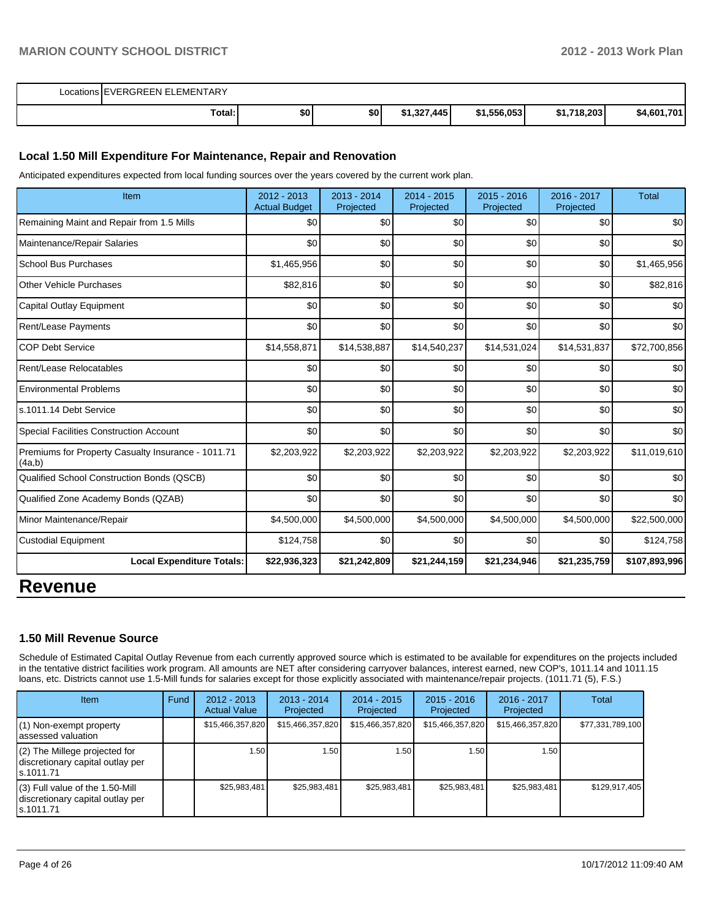| Locations EVERGREEN ELEMENTARY |     |     |                              |             |                         |             |
|--------------------------------|-----|-----|------------------------------|-------------|-------------------------|-------------|
| Total:                         | \$0 | \$0 | \$1,327,445<br><b>C4 227</b> | \$1,556,053 | .718.203<br>œ4<br>1,ונד | \$4,601,701 |

#### **Local 1.50 Mill Expenditure For Maintenance, Repair and Renovation**

Anticipated expenditures expected from local funding sources over the years covered by the current work plan.

| Item                                                         | 2012 - 2013<br><b>Actual Budget</b> | 2013 - 2014<br>Projected | 2014 - 2015<br>Projected | $2015 - 2016$<br>Projected | $2016 - 2017$<br>Projected | <b>Total</b>  |
|--------------------------------------------------------------|-------------------------------------|--------------------------|--------------------------|----------------------------|----------------------------|---------------|
| Remaining Maint and Repair from 1.5 Mills                    | \$0                                 | \$0                      | \$0                      | \$0                        | \$0                        | \$0           |
| Maintenance/Repair Salaries                                  | \$0                                 | \$0                      | \$0                      | \$0                        | \$0                        | \$0           |
| <b>School Bus Purchases</b>                                  | \$1,465,956                         | \$0                      | \$0                      | \$0                        | \$0                        | \$1,465,956   |
| <b>Other Vehicle Purchases</b>                               | \$82,816                            | \$0                      | \$0                      | \$0                        | \$0                        | \$82,816      |
| Capital Outlay Equipment                                     | \$0                                 | \$0                      | \$0                      | \$0                        | \$0                        | \$0           |
| Rent/Lease Payments                                          | \$0                                 | \$0                      | \$0                      | \$0                        | \$0                        | \$0           |
| <b>COP Debt Service</b>                                      | \$14,558,871                        | \$14,538,887             | \$14,540,237             | \$14,531,024               | \$14,531,837               | \$72,700,856  |
| Rent/Lease Relocatables                                      | \$0                                 | \$0                      | \$0                      | \$0                        | \$0                        | \$0           |
| <b>Environmental Problems</b>                                | \$0                                 | \$0                      | \$0                      | \$0                        | \$0                        | \$0           |
| s.1011.14 Debt Service                                       | \$0                                 | \$0                      | \$0                      | \$0                        | \$0                        | \$0           |
| <b>Special Facilities Construction Account</b>               | \$0                                 | \$0                      | \$0                      | \$0                        | \$0                        | \$0           |
| Premiums for Property Casualty Insurance - 1011.71<br>(4a,b) | \$2,203,922                         | \$2,203,922              | \$2,203,922              | \$2,203,922                | \$2,203,922                | \$11,019,610  |
| Qualified School Construction Bonds (QSCB)                   | \$0                                 | \$0                      | \$0                      | \$0                        | \$0                        | \$0           |
| Qualified Zone Academy Bonds (QZAB)                          | \$0                                 | \$0                      | \$0                      | \$0                        | \$0                        | \$0           |
| Minor Maintenance/Repair                                     | \$4,500,000                         | \$4,500,000              | \$4,500,000              | \$4,500,000                | \$4,500,000                | \$22,500,000  |
| <b>Custodial Equipment</b>                                   | \$124,758                           | \$0                      | \$0                      | \$0                        | \$0                        | \$124,758     |
| <b>Local Expenditure Totals:</b>                             | \$22,936,323                        | \$21,242,809             | \$21,244,159             | \$21,234,946               | \$21,235,759               | \$107,893,996 |
|                                                              |                                     |                          |                          |                            |                            |               |

## **Revenue**

#### **1.50 Mill Revenue Source**

Schedule of Estimated Capital Outlay Revenue from each currently approved source which is estimated to be available for expenditures on the projects included in the tentative district facilities work program. All amounts are NET after considering carryover balances, interest earned, new COP's, 1011.14 and 1011.15 loans, etc. Districts cannot use 1.5-Mill funds for salaries except for those explicitly associated with maintenance/repair projects. (1011.71 (5), F.S.)

| <b>Item</b>                                                                         | Fund | $2012 - 2013$<br><b>Actual Value</b> | $2013 - 2014$<br>Projected | $2014 - 2015$<br>Projected | $2015 - 2016$<br>Projected | $2016 - 2017$<br>Projected | Total            |
|-------------------------------------------------------------------------------------|------|--------------------------------------|----------------------------|----------------------------|----------------------------|----------------------------|------------------|
| $(1)$ Non-exempt property<br>lassessed valuation                                    |      | \$15,466,357,820                     | \$15,466,357,820           | \$15,466,357,820           | \$15,466,357,820           | \$15,466,357,820           | \$77,331,789,100 |
| $(2)$ The Millege projected for<br>discretionary capital outlay per<br>ls.1011.71   |      | 1.50                                 | ⊦.50 l                     | 1.50                       | 1.50 <sub>l</sub>          | 1.50                       |                  |
| $(3)$ Full value of the 1.50-Mill<br>discretionary capital outlay per<br>ls.1011.71 |      | \$25,983,481                         | \$25,983,481               | \$25,983,481               | \$25,983,481               | \$25,983,481               | \$129,917,405    |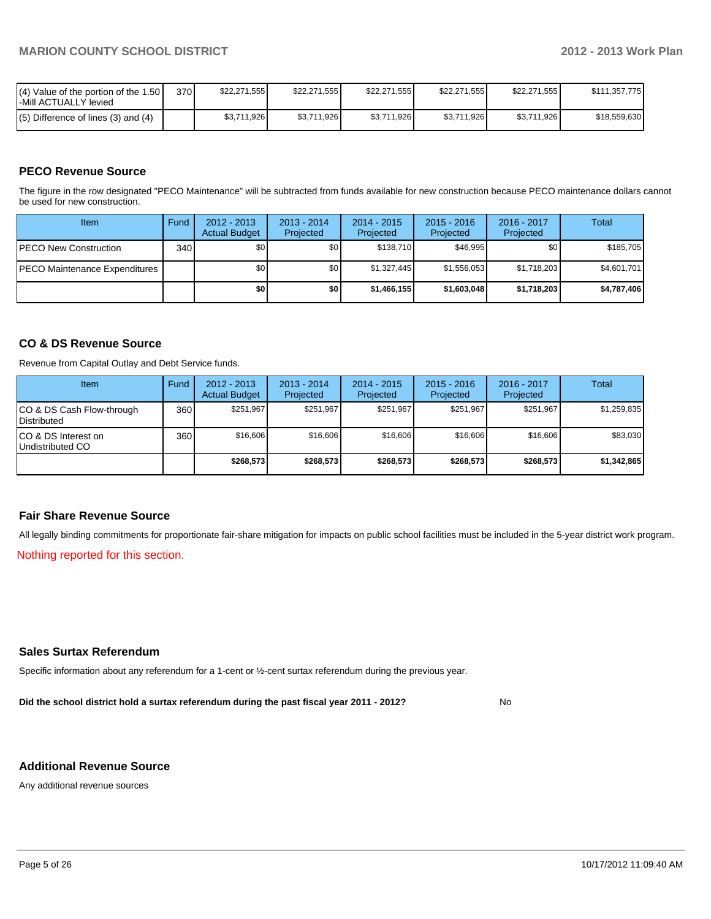| I(4) Value of the portion of the 1.50 I<br>-Mill ACTUALLY levied | 370 | \$22.271.555 | \$22,271,555 | \$22.271.555 | \$22,271,555 | \$22.271.555 | \$111,357,775 |
|------------------------------------------------------------------|-----|--------------|--------------|--------------|--------------|--------------|---------------|
| $(5)$ Difference of lines (3) and (4)                            |     | \$3,711,926  | \$3,711,926  | \$3,711,926  | \$3,711,926  | \$3,711,926  | \$18,559,630  |

### **PECO Revenue Source**

The figure in the row designated "PECO Maintenance" will be subtracted from funds available for new construction because PECO maintenance dollars cannot be used for new construction.

| Item                                 | Fund | $2012 - 2013$<br><b>Actual Budget</b> | $2013 - 2014$<br>Projected | $2014 - 2015$<br>Projected | $2015 - 2016$<br>Projected | $2016 - 2017$<br>Projected | Total       |
|--------------------------------------|------|---------------------------------------|----------------------------|----------------------------|----------------------------|----------------------------|-------------|
| <b>IPECO New Construction</b>        | 340  | \$0 <sub>1</sub>                      | \$0                        | \$138,710                  | \$46.995                   | \$0                        | \$185,705   |
| <b>PECO Maintenance Expenditures</b> |      | \$0                                   | \$0                        | \$1,327,445                | \$1,556,053                | \$1,718,203                | \$4,601,701 |
|                                      |      | \$0                                   | \$0                        | \$1,466,155                | \$1,603,048                | \$1,718,203                | \$4,787,406 |

### **CO & DS Revenue Source**

Revenue from Capital Outlay and Debt Service funds.

| <b>Item</b>                                     | Fund | $2012 - 2013$<br><b>Actual Budget</b> | $2013 - 2014$<br>Projected | $2014 - 2015$<br>Projected | $2015 - 2016$<br>Projected | $2016 - 2017$<br>Projected | Total       |
|-------------------------------------------------|------|---------------------------------------|----------------------------|----------------------------|----------------------------|----------------------------|-------------|
| CO & DS Cash Flow-through<br><b>Distributed</b> | 360  | \$251.967                             | \$251,967                  | \$251.967                  | \$251.967                  | \$251,967                  | \$1,259,835 |
| CO & DS Interest on<br>Undistributed CO         | 360  | \$16,606                              | \$16,606                   | \$16,606                   | \$16,606                   | \$16,606                   | \$83,030    |
|                                                 |      | \$268,573                             | \$268,573                  | \$268,573                  | \$268,573                  | \$268,573                  | \$1,342,865 |

#### **Fair Share Revenue Source**

All legally binding commitments for proportionate fair-share mitigation for impacts on public school facilities must be included in the 5-year district work program.

Nothing reported for this section.

#### **Sales Surtax Referendum**

Specific information about any referendum for a 1-cent or ½-cent surtax referendum during the previous year.

**Did the school district hold a surtax referendum during the past fiscal year 2011 - 2012?**

No

#### **Additional Revenue Source**

Any additional revenue sources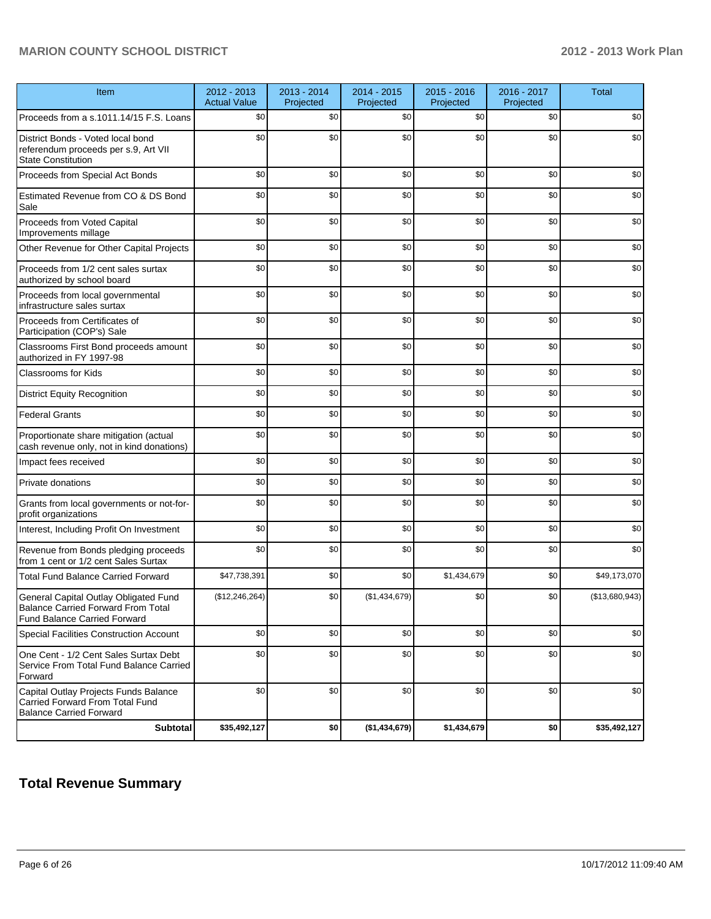| Item                                                                                                                      | 2012 - 2013<br><b>Actual Value</b> | 2013 - 2014<br>Projected | 2014 - 2015<br>Projected | 2015 - 2016<br>Projected | 2016 - 2017<br>Projected | <b>Total</b>   |
|---------------------------------------------------------------------------------------------------------------------------|------------------------------------|--------------------------|--------------------------|--------------------------|--------------------------|----------------|
| Proceeds from a s.1011.14/15 F.S. Loans                                                                                   | \$0                                | \$0                      | \$0                      | \$0                      | \$0                      | \$0            |
| District Bonds - Voted local bond<br>referendum proceeds per s.9, Art VII<br><b>State Constitution</b>                    | \$0                                | \$0                      | \$0                      | \$0                      | \$0                      | \$0            |
| Proceeds from Special Act Bonds                                                                                           | \$0                                | \$0                      | \$0                      | \$0                      | \$0                      | \$0            |
| Estimated Revenue from CO & DS Bond<br>Sale                                                                               | \$0                                | \$0                      | \$0                      | \$0                      | \$0                      | \$0            |
| Proceeds from Voted Capital<br>Improvements millage                                                                       | \$0                                | \$0                      | \$0                      | \$0                      | \$0                      | \$0            |
| Other Revenue for Other Capital Projects                                                                                  | \$0                                | \$0                      | \$0                      | \$0                      | \$0                      | \$0            |
| Proceeds from 1/2 cent sales surtax<br>authorized by school board                                                         | \$0                                | \$0                      | \$0                      | \$0                      | \$0                      | \$0            |
| Proceeds from local governmental<br>infrastructure sales surtax                                                           | \$0                                | \$0                      | \$0                      | \$0                      | \$0                      | \$0            |
| Proceeds from Certificates of<br>Participation (COP's) Sale                                                               | \$0                                | \$0                      | \$0                      | \$0                      | \$0                      | \$0            |
| Classrooms First Bond proceeds amount<br>authorized in FY 1997-98                                                         | \$0                                | \$0                      | \$0                      | \$0                      | \$0                      | \$0            |
| <b>Classrooms for Kids</b>                                                                                                | \$0                                | \$0                      | \$0                      | \$0                      | \$0                      | \$0            |
| <b>District Equity Recognition</b>                                                                                        | \$0                                | \$0                      | \$0                      | \$0                      | \$0                      | \$0            |
| <b>Federal Grants</b>                                                                                                     | \$0                                | \$0                      | \$0                      | \$0                      | \$0                      | \$0            |
| Proportionate share mitigation (actual<br>cash revenue only, not in kind donations)                                       | \$0                                | \$0                      | \$0                      | \$0                      | \$0                      | \$0            |
| Impact fees received                                                                                                      | \$0                                | \$0                      | \$0                      | \$0                      | \$0                      | \$0            |
| Private donations                                                                                                         | \$0                                | \$0                      | \$0                      | \$0                      | \$0                      | \$0            |
| Grants from local governments or not-for-<br>profit organizations                                                         | \$0                                | \$0                      | \$0                      | \$0                      | \$0                      | \$0            |
| Interest, Including Profit On Investment                                                                                  | \$0                                | \$0                      | \$0                      | \$0                      | \$0                      | \$0            |
| Revenue from Bonds pledging proceeds<br>from 1 cent or 1/2 cent Sales Surtax                                              | \$0                                | \$0                      | \$0                      | \$0                      | \$0                      | \$0            |
| <b>Total Fund Balance Carried Forward</b>                                                                                 | \$47,738,391                       | \$0                      | \$0                      | \$1,434,679              | \$0                      | \$49,173,070   |
| General Capital Outlay Obligated Fund<br><b>Balance Carried Forward From Total</b><br><b>Fund Balance Carried Forward</b> | (\$12,246,264)                     | \$0                      | (\$1,434,679)            | \$0                      | \$0                      | (\$13,680,943) |
| Special Facilities Construction Account                                                                                   | \$0                                | \$0                      | \$0                      | \$0                      | \$0                      | \$0            |
| One Cent - 1/2 Cent Sales Surtax Debt<br>Service From Total Fund Balance Carried<br>Forward                               | \$0                                | \$0                      | \$0                      | \$0                      | \$0                      | \$0            |
| Capital Outlay Projects Funds Balance<br>Carried Forward From Total Fund<br><b>Balance Carried Forward</b>                | \$0                                | \$0                      | \$0                      | \$0                      | \$0                      | \$0            |
| <b>Subtotal</b>                                                                                                           | \$35,492,127                       | \$0                      | (\$1,434,679)            | \$1,434,679              | \$0                      | \$35,492,127   |

## **Total Revenue Summary**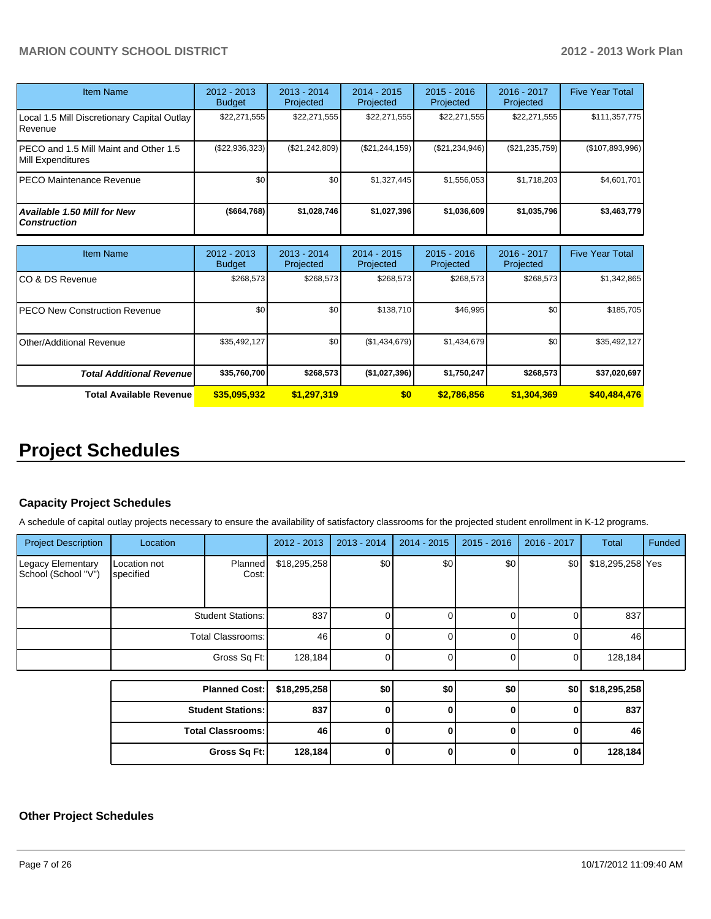| Item Name                                                  | $2012 - 2013$<br><b>Budget</b> | $2013 - 2014$<br>Projected | $2014 - 2015$<br>Projected | $2015 - 2016$<br>Projected | $2016 - 2017$<br>Projected | <b>Five Year Total</b> |
|------------------------------------------------------------|--------------------------------|----------------------------|----------------------------|----------------------------|----------------------------|------------------------|
| Local 1.5 Mill Discretionary Capital Outlay<br>Revenue.    | \$22,271,555                   | \$22,271,555               | \$22,271,555               | \$22,271,555               | \$22,271,555               | \$111,357,775          |
| PECO and 1.5 Mill Maint and Other 1.5<br>Mill Expenditures | $(\$22,936,323)$               | (\$21,242,809)             | $(\$21, 244, 159)$         | (\$21,234,946)             | $(\$21,235,759)$           | (\$107,893,996)        |
| PECO Maintenance Revenue                                   | \$0 <sub>1</sub>               | \$0                        | \$1.327.445                | \$1,556,053                | \$1,718,203                | \$4,601,701            |
| Available 1.50 Mill for New<br><b>Construction</b>         | $($ \$664,768)                 | \$1,028,746                | \$1,027,396                | \$1,036,609                | \$1,035,796                | \$3,463,779            |

| <b>Item Name</b>                     | 2012 - 2013<br><b>Budget</b> | $2013 - 2014$<br>Projected | $2014 - 2015$<br>Projected | $2015 - 2016$<br>Projected | $2016 - 2017$<br>Projected | <b>Five Year Total</b> |
|--------------------------------------|------------------------------|----------------------------|----------------------------|----------------------------|----------------------------|------------------------|
| CO & DS Revenue                      | \$268,573                    | \$268,573                  | \$268,573                  | \$268,573                  | \$268,573                  | \$1,342,865            |
| <b>PECO New Construction Revenue</b> | \$0                          | \$0                        | \$138.710                  | \$46,995                   | \$0                        | \$185,705              |
| <b>Other/Additional Revenue</b>      | \$35,492,127                 | \$0 <sub>1</sub>           | (\$1,434,679)              | \$1,434,679                | \$0                        | \$35,492,127           |
| <b>Total Additional Revenuel</b>     | \$35,760,700                 | \$268,573                  | (\$1,027,396)              | \$1,750,247                | \$268,573                  | \$37,020,697           |
| <b>Total Available Revenue</b>       | \$35,095,932                 | \$1,297,319                | \$0                        | \$2,786,856                | \$1,304,369                | \$40,484,476           |

# **Project Schedules**

#### **Capacity Project Schedules**

A schedule of capital outlay projects necessary to ensure the availability of satisfactory classrooms for the projected student enrollment in K-12 programs.

| <b>Project Description</b>               | Location                  |                          | 2012 - 2013  | 2013 - 2014      | $2014 - 2015$ | $2015 - 2016$ | 2016 - 2017 | Total            | Funded |
|------------------------------------------|---------------------------|--------------------------|--------------|------------------|---------------|---------------|-------------|------------------|--------|
| Legacy Elementary<br>School (School "V") | Location not<br>specified | Planned<br>Cost:         | \$18,295,258 | \$0 <sub>l</sub> | \$0           | \$0           | \$0         | \$18,295,258 Yes |        |
|                                          |                           | <b>Student Stations:</b> | 837          |                  |               |               |             | 837              |        |
|                                          |                           | <b>Total Classrooms:</b> | 46           | ΩI               |               |               | 0           | 46               |        |
|                                          |                           | Gross Sq Ft:             | 128,184      |                  |               |               | 0           | 128,184          |        |
|                                          |                           |                          |              |                  |               |               |             |                  |        |
|                                          |                           | <b>Planned Cost:</b>     | \$18,295,258 | \$0              | \$0           | \$0           | \$0         | \$18,295,258     |        |
|                                          |                           | <b>Student Stations:</b> | 837          | $\Omega$         | 0             | 0             | $\Omega$    | 837              |        |
|                                          | <b>Total Classrooms:</b>  |                          | 46           | ΩI               |               | <sup>0</sup>  | O           | 46               |        |
|                                          |                           | Gross Sq Ft:             | 128,184      | $\Omega$         | O             | U             | 0           | 128,184          |        |

#### **Other Project Schedules**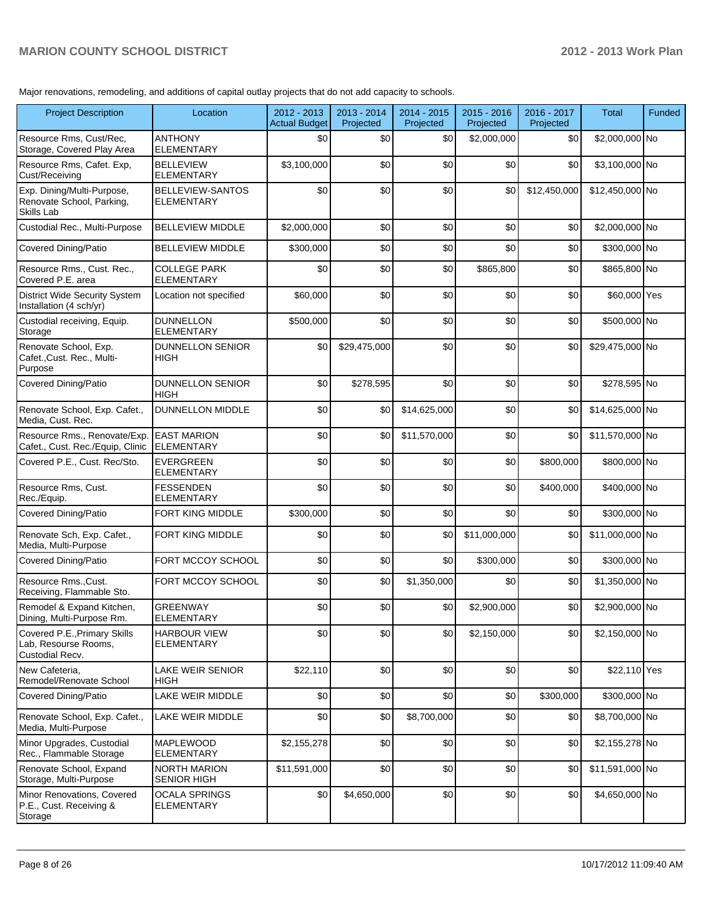Major renovations, remodeling, and additions of capital outlay projects that do not add capacity to schools.

| <b>Project Description</b>                                              | Location                                  | $2012 - 2013$<br>Actual Budget | 2013 - 2014<br>Projected | 2014 - 2015<br>Projected | $2015 - 2016$<br>Projected | 2016 - 2017<br>Projected | <b>Total</b>    | <b>Funded</b> |
|-------------------------------------------------------------------------|-------------------------------------------|--------------------------------|--------------------------|--------------------------|----------------------------|--------------------------|-----------------|---------------|
| Resource Rms, Cust/Rec,<br>Storage, Covered Play Area                   | <b>ANTHONY</b><br><b>ELEMENTARY</b>       | \$0                            | \$0                      | \$0                      | \$2,000,000                | \$0                      | \$2,000,000 No  |               |
| Resource Rms, Cafet. Exp,<br>Cust/Receiving                             | <b>BELLEVIEW</b><br><b>ELEMENTARY</b>     | \$3,100,000                    | \$0                      | \$0                      | \$0                        | \$0                      | \$3,100,000 No  |               |
| Exp. Dining/Multi-Purpose,<br>Renovate School, Parking,<br>Skills Lab   | BELLEVIEW-SANTOS<br><b>ELEMENTARY</b>     | \$0                            | \$0                      | \$0                      | \$0                        | \$12,450,000             | \$12,450,000 No |               |
| Custodial Rec., Multi-Purpose                                           | <b>BELLEVIEW MIDDLE</b>                   | \$2,000,000                    | \$0                      | \$0                      | \$0                        | \$0                      | \$2,000,000 No  |               |
| <b>Covered Dining/Patio</b>                                             | <b>BELLEVIEW MIDDLE</b>                   | \$300,000                      | \$0                      | \$0                      | \$0                        | \$0                      | \$300,000 No    |               |
| Resource Rms., Cust. Rec.,<br>Covered P.E. area                         | <b>COLLEGE PARK</b><br><b>ELEMENTARY</b>  | \$0                            | \$0                      | \$0                      | \$865,800                  | \$0                      | \$865,800 No    |               |
| <b>District Wide Security System</b><br>Installation (4 sch/yr)         | Location not specified                    | \$60,000                       | \$0                      | \$0                      | \$0                        | \$0                      | \$60,000 Yes    |               |
| Custodial receiving, Equip.<br>Storage                                  | <b>DUNNELLON</b><br><b>ELEMENTARY</b>     | \$500,000                      | \$0                      | \$0                      | \$0                        | \$0                      | \$500,000 No    |               |
| Renovate School, Exp.<br>Cafet., Cust. Rec., Multi-<br>Purpose          | <b>DUNNELLON SENIOR</b><br><b>HIGH</b>    | \$0                            | \$29,475,000             | \$0                      | \$0                        | \$0                      | \$29,475,000 No |               |
| <b>Covered Dining/Patio</b>                                             | <b>DUNNELLON SENIOR</b><br><b>HIGH</b>    | \$0                            | \$278,595                | \$0                      | \$0                        | \$0                      | \$278,595 No    |               |
| Renovate School, Exp. Cafet.,<br>Media, Cust. Rec.                      | <b>DUNNELLON MIDDLE</b>                   | \$0                            | \$0                      | \$14,625,000             | \$0                        | \$0                      | \$14,625,000 No |               |
| Resource Rms., Renovate/Exp.<br>Cafet., Cust. Rec./Equip, Clinic        | <b>EAST MARION</b><br><b>ELEMENTARY</b>   | \$0                            | \$0                      | \$11,570,000             | \$0                        | \$0                      | \$11,570,000 No |               |
| Covered P.E., Cust. Rec/Sto.                                            | <b>EVERGREEN</b><br><b>ELEMENTARY</b>     | \$0                            | \$0                      | \$0                      | \$0                        | \$800,000                | \$800,000 No    |               |
| Resource Rms, Cust.<br>Rec./Equip.                                      | <b>FESSENDEN</b><br>ELEMENTARY            | \$0                            | \$0                      | \$0                      | \$0                        | \$400,000                | \$400,000 No    |               |
| <b>Covered Dining/Patio</b>                                             | FORT KING MIDDLE                          | \$300,000                      | \$0                      | \$0                      | \$0                        | \$0                      | \$300,000 No    |               |
| Renovate Sch, Exp. Cafet.,<br>Media, Multi-Purpose                      | FORT KING MIDDLE                          | \$0                            | \$0                      | \$0                      | \$11,000,000               | \$0                      | \$11,000,000 No |               |
| <b>Covered Dining/Patio</b>                                             | FORT MCCOY SCHOOL                         | \$0                            | \$0                      | \$0                      | \$300,000                  | \$0                      | \$300,000 No    |               |
| Resource Rms., Cust.<br>Receiving, Flammable Sto.                       | FORT MCCOY SCHOOL                         | \$0                            | \$0                      | \$1,350,000              | \$0                        | \$0                      | \$1,350,000 No  |               |
| Remodel & Expand Kitchen,<br>Dining, Multi-Purpose Rm.                  | <b>GREENWAY</b><br>ELEMENTARY             | \$0                            | \$0                      | \$0                      | \$2,900,000                | \$0                      | \$2,900,000 No  |               |
| Covered P.E., Primary Skills<br>Lab, Resourse Rooms,<br>Custodial Recv. | <b>HARBOUR VIEW</b><br><b>ELEMENTARY</b>  | \$0                            | \$0                      | 30                       | \$2,150,000                | \$0                      | \$2,150,000 No  |               |
| New Cafeteria.<br>Remodel/Renovate School                               | LAKE WEIR SENIOR<br><b>HIGH</b>           | \$22,110                       | \$0                      | \$0                      | \$0                        | \$0                      | \$22,110 Yes    |               |
| <b>Covered Dining/Patio</b>                                             | LAKE WEIR MIDDLE                          | \$0                            | \$0                      | \$0                      | \$0                        | \$300,000                | \$300,000 No    |               |
| Renovate School, Exp. Cafet.,<br>Media, Multi-Purpose                   | LAKE WEIR MIDDLE                          | \$0                            | \$0                      | \$8,700,000              | \$0                        | \$0                      | \$8,700,000 No  |               |
| Minor Upgrades, Custodial<br>Rec., Flammable Storage                    | <b>MAPLEWOOD</b><br><b>ELEMENTARY</b>     | \$2,155,278                    | \$0                      | \$0                      | \$0                        | \$0                      | \$2,155,278 No  |               |
| Renovate School, Expand<br>Storage, Multi-Purpose                       | <b>NORTH MARION</b><br><b>SENIOR HIGH</b> | \$11,591,000                   | \$0                      | \$0                      | \$0                        | \$0                      | \$11,591,000 No |               |
| Minor Renovations, Covered<br>P.E., Cust. Receiving &<br>Storage        | <b>OCALA SPRINGS</b><br><b>ELEMENTARY</b> | \$0                            | \$4,650,000              | \$0                      | \$0                        | \$0                      | \$4,650,000 No  |               |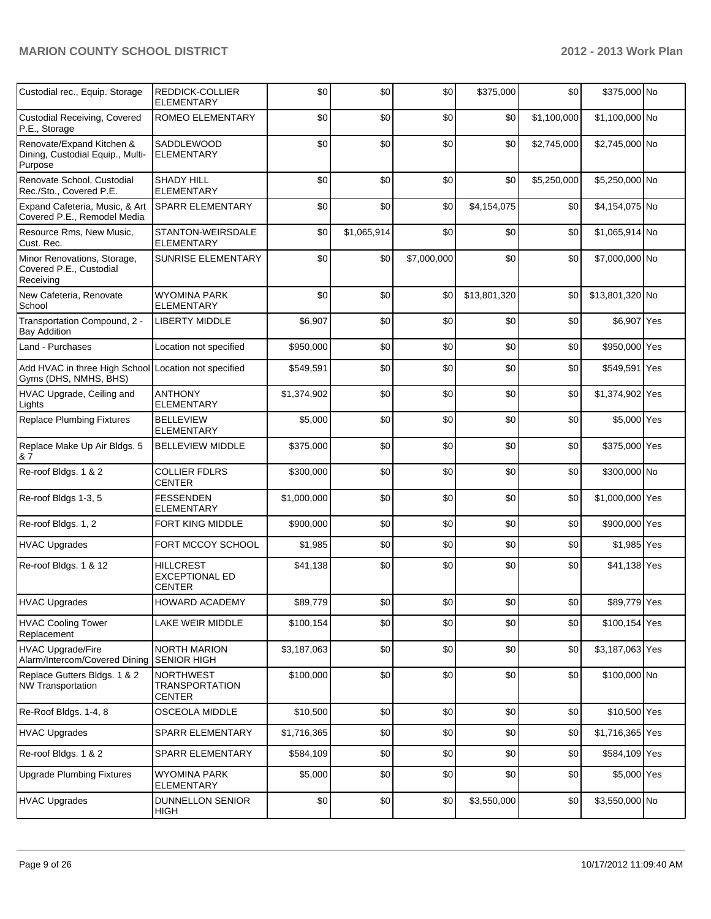| Custodial rec., Equip. Storage                                                | <b>REDDICK-COLLIER</b><br><b>ELEMENTARY</b>                | \$0         | \$0         | \$0         | \$375,000    | \$0         | \$375,000 No    |  |
|-------------------------------------------------------------------------------|------------------------------------------------------------|-------------|-------------|-------------|--------------|-------------|-----------------|--|
| <b>Custodial Receiving, Covered</b><br>P.E., Storage                          | ROMEO ELEMENTARY                                           | \$0         | \$0         | \$0         | \$0          | \$1,100,000 | \$1,100,000 No  |  |
| Renovate/Expand Kitchen &<br>Dining, Custodial Equip., Multi-<br>Purpose      | <b>SADDLEWOOD</b><br><b>ELEMENTARY</b>                     | \$0         | \$0         | \$0         | \$0          | \$2,745,000 | \$2,745,000 No  |  |
| Renovate School, Custodial<br>Rec./Sto., Covered P.E.                         | <b>SHADY HILL</b><br><b>ELEMENTARY</b>                     | \$0         | \$0         | \$0         | \$0          | \$5,250,000 | \$5,250,000 No  |  |
| Expand Cafeteria, Music, & Art<br>Covered P.E., Remodel Media                 | <b>SPARR ELEMENTARY</b>                                    | \$0         | \$0         | \$0         | \$4,154,075  | \$0         | \$4,154,075 No  |  |
| Resource Rms, New Music,<br>Cust. Rec.                                        | STANTON-WEIRSDALE<br><b>ELEMENTARY</b>                     | \$0         | \$1,065,914 | \$0         | \$0          | \$0         | \$1,065,914 No  |  |
| Minor Renovations, Storage,<br>Covered P.E., Custodial<br>Receiving           | <b>SUNRISE ELEMENTARY</b>                                  | \$0         | \$0         | \$7,000,000 | \$0          | \$0         | \$7,000,000 No  |  |
| New Cafeteria, Renovate<br>School                                             | <b>WYOMINA PARK</b><br><b>ELEMENTARY</b>                   | \$0         | \$0         | \$0         | \$13,801,320 | \$0         | \$13,801,320 No |  |
| Transportation Compound, 2 -<br><b>Bay Addition</b>                           | <b>LIBERTY MIDDLE</b>                                      | \$6,907     | \$0         | \$0         | \$0          | \$0         | \$6,907 Yes     |  |
| Land - Purchases                                                              | Location not specified                                     | \$950,000   | \$0         | \$0         | \$0          | \$0         | \$950,000 Yes   |  |
| Add HVAC in three High School Location not specified<br>Gyms (DHS, NMHS, BHS) |                                                            | \$549,591   | \$0         | \$0         | \$0          | \$0         | \$549,591 Yes   |  |
| HVAC Upgrade, Ceiling and<br>Lights                                           | <b>ANTHONY</b><br><b>ELEMENTARY</b>                        | \$1,374,902 | \$0         | \$0         | \$0          | \$0         | \$1,374,902 Yes |  |
| <b>Replace Plumbing Fixtures</b>                                              | <b>BELLEVIEW</b><br><b>ELEMENTARY</b>                      | \$5,000     | \$0         | \$0         | \$0          | \$0         | \$5,000 Yes     |  |
| Replace Make Up Air Bldgs. 5<br>87                                            | <b>BELLEVIEW MIDDLE</b>                                    | \$375,000   | \$0         | \$0         | \$0          | \$0         | \$375,000 Yes   |  |
| Re-roof Bldgs. 1 & 2                                                          | <b>COLLIER FDLRS</b><br><b>CENTER</b>                      | \$300,000   | \$0         | \$0         | \$0          | \$0         | \$300,000 No    |  |
| Re-roof Bldgs 1-3, 5                                                          | <b>FESSENDEN</b><br><b>ELEMENTARY</b>                      | \$1,000,000 | \$0         | \$0         | \$0          | \$0         | \$1,000,000 Yes |  |
| Re-roof Bldgs. 1, 2                                                           | FORT KING MIDDLE                                           | \$900,000   | \$0         | \$0         | \$0          | \$0         | \$900,000 Yes   |  |
| <b>HVAC Upgrades</b>                                                          | FORT MCCOY SCHOOL                                          | \$1,985     | \$0         | \$0         | \$0          | \$0         | \$1,985 Yes     |  |
| Re-roof Bldgs. 1 & 12                                                         | <b>HILLCREST</b><br><b>EXCEPTIONAL ED</b><br><b>CENTER</b> | \$41,138    | \$0         | \$0         | \$0          | \$0         | \$41,138 Yes    |  |
| HVAC Upgrades                                                                 | HOWARD ACADEMY                                             | \$89,779    | \$0         | \$0         | $$0$$        | \$0         | \$89,779 Yes    |  |
| <b>HVAC Cooling Tower</b><br>Replacement                                      | LAKE WEIR MIDDLE                                           | \$100.154   | \$0         | \$0         | \$0          | \$0         | \$100,154 Yes   |  |
| <b>HVAC Upgrade/Fire</b><br>Alarm/Intercom/Covered Dining                     | <b>NORTH MARION</b><br><b>SENIOR HIGH</b>                  | \$3,187,063 | \$0         | \$0         | \$0          | \$0         | \$3,187,063 Yes |  |
| Replace Gutters Bldgs. 1 & 2<br><b>NW Transportation</b>                      | <b>NORTHWEST</b><br><b>TRANSPORTATION</b><br><b>CENTER</b> | \$100,000   | \$0         | \$0         | \$0          | \$0         | \$100,000 No    |  |
| Re-Roof Bldgs. 1-4, 8                                                         | OSCEOLA MIDDLE                                             | \$10,500    | \$0         | \$0         | \$0          | \$0         | \$10,500 Yes    |  |
| <b>HVAC Upgrades</b>                                                          | SPARR ELEMENTARY                                           | \$1,716,365 | \$0         | \$0         | \$0          | \$0         | \$1,716,365 Yes |  |
| Re-roof Bldgs. 1 & 2                                                          | SPARR ELEMENTARY                                           | \$584,109   | \$0         | \$0         | \$0          | \$0         | \$584,109 Yes   |  |
| <b>Upgrade Plumbing Fixtures</b>                                              | <b>WYOMINA PARK</b><br>ELEMENTARY                          | \$5,000     | \$0         | \$0         | \$0          | \$0         | \$5,000 Yes     |  |
| <b>HVAC Upgrades</b>                                                          | <b>DUNNELLON SENIOR</b><br><b>HIGH</b>                     | \$0         | \$0         | \$0         | \$3,550,000  | \$0         | \$3,550,000 No  |  |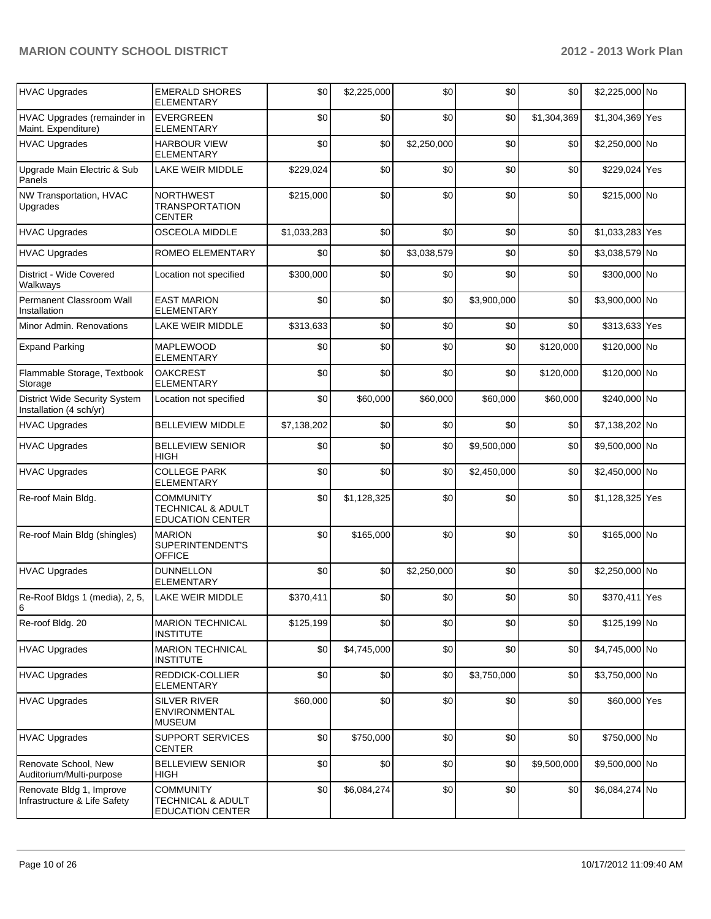| <b>HVAC Upgrades</b>                                            | <b>EMERALD SHORES</b><br><b>ELEMENTARY</b>                                  | \$0         | \$2,225,000 | \$0         | \$0         | \$0         | \$2,225,000 No  |  |
|-----------------------------------------------------------------|-----------------------------------------------------------------------------|-------------|-------------|-------------|-------------|-------------|-----------------|--|
| HVAC Upgrades (remainder in<br>Maint. Expenditure)              | <b>EVERGREEN</b><br><b>ELEMENTARY</b>                                       | \$0         | \$0         | \$0         | \$0         | \$1,304,369 | \$1,304,369 Yes |  |
| <b>HVAC Upgrades</b>                                            | <b>HARBOUR VIEW</b><br><b>ELEMENTARY</b>                                    | \$0         | \$0         | \$2,250,000 | \$0         | \$0         | \$2,250,000 No  |  |
| Upgrade Main Electric & Sub<br>Panels                           | <b>LAKE WEIR MIDDLE</b>                                                     | \$229,024   | \$0         | \$0         | \$0         | \$0         | \$229,024 Yes   |  |
| NW Transportation, HVAC<br>Upgrades                             | <b>NORTHWEST</b><br><b>TRANSPORTATION</b><br><b>CENTER</b>                  | \$215,000   | \$0         | \$0         | \$0         | \$0         | \$215,000 No    |  |
| <b>HVAC Upgrades</b>                                            | <b>OSCEOLA MIDDLE</b>                                                       | \$1,033,283 | \$0         | \$0         | \$0         | \$0         | \$1,033,283 Yes |  |
| <b>HVAC Upgrades</b>                                            | ROMEO ELEMENTARY                                                            | \$0         | \$0         | \$3,038,579 | \$0         | \$0         | \$3,038,579 No  |  |
| District - Wide Covered<br>Walkways                             | Location not specified                                                      | \$300,000   | \$0         | \$0         | \$0         | \$0         | \$300,000 No    |  |
| Permanent Classroom Wall<br>Installation                        | <b>EAST MARION</b><br><b>ELEMENTARY</b>                                     | \$0         | \$0         | \$0         | \$3,900,000 | \$0         | \$3,900,000 No  |  |
| Minor Admin, Renovations                                        | LAKE WEIR MIDDLE                                                            | \$313,633   | \$0         | \$0         | \$0         | \$0         | \$313,633 Yes   |  |
| <b>Expand Parking</b>                                           | <b>MAPLEWOOD</b><br><b>ELEMENTARY</b>                                       | \$0         | \$0         | \$0         | \$0         | \$120,000   | \$120,000 No    |  |
| Flammable Storage, Textbook<br>Storage                          | <b>OAKCREST</b><br><b>ELEMENTARY</b>                                        | \$0         | \$0         | \$0         | \$0         | \$120,000   | \$120,000 No    |  |
| <b>District Wide Security System</b><br>Installation (4 sch/yr) | Location not specified                                                      | \$0         | \$60,000    | \$60,000    | \$60,000    | \$60,000    | \$240,000 No    |  |
| <b>HVAC Upgrades</b>                                            | <b>BELLEVIEW MIDDLE</b>                                                     | \$7,138,202 | \$0         | \$0         | \$0         | \$0         | \$7,138,202 No  |  |
| <b>HVAC Upgrades</b>                                            | <b>BELLEVIEW SENIOR</b><br>HIGH                                             | \$0         | \$0         | \$0         | \$9,500,000 | \$0         | \$9,500,000 No  |  |
| <b>HVAC Upgrades</b>                                            | <b>COLLEGE PARK</b><br><b>ELEMENTARY</b>                                    | \$0         | \$0         | \$0         | \$2,450,000 | \$0         | \$2,450,000 No  |  |
| Re-roof Main Bldg.                                              | <b>COMMUNITY</b><br><b>TECHNICAL &amp; ADULT</b><br><b>EDUCATION CENTER</b> | \$0         | \$1,128,325 | \$0         | \$0         | \$0         | \$1,128,325 Yes |  |
| Re-roof Main Bldg (shingles)                                    | <b>MARION</b><br>SUPERINTENDENT'S<br><b>OFFICE</b>                          | \$0         | \$165,000   | \$0         | \$0         | \$0         | \$165,000 No    |  |
| <b>HVAC Upgrades</b>                                            | <b>DUNNELLON</b><br><b>ELEMENTARY</b>                                       | \$0         | \$0         | \$2,250,000 | \$0         | \$0         | \$2,250,000 No  |  |
| Re-Roof Bldgs 1 (media), 2, 5,<br>16                            | LAKE WEIR MIDDLE                                                            | \$370,411   | \$0         | \$0         | \$0         | \$0         | \$370,411 Yes   |  |
| Re-roof Bldg. 20                                                | <b>MARION TECHNICAL</b><br><b>INSTITUTE</b>                                 | \$125,199   | \$0         | \$0         | \$0         | \$0         | \$125,199 No    |  |
| <b>HVAC Upgrades</b>                                            | <b>MARION TECHNICAL</b><br><b>INSTITUTE</b>                                 | \$0         | \$4,745,000 | \$0         | \$0         | \$0         | \$4,745,000 No  |  |
| <b>HVAC Upgrades</b>                                            | REDDICK-COLLIER<br>ELEMENTARY                                               | \$0         | \$0         | \$0         | \$3,750,000 | \$0         | \$3,750,000 No  |  |
| <b>HVAC Upgrades</b>                                            | <b>SILVER RIVER</b><br><b>ENVIRONMENTAL</b><br><b>MUSEUM</b>                | \$60,000    | \$0         | \$0         | \$0         | \$0         | \$60,000 Yes    |  |
| <b>HVAC Upgrades</b>                                            | SUPPORT SERVICES<br><b>CENTER</b>                                           | \$0         | \$750,000   | \$0         | \$0         | \$0         | \$750,000 No    |  |
| Renovate School, New<br>Auditorium/Multi-purpose                | <b>BELLEVIEW SENIOR</b><br><b>HIGH</b>                                      | \$0         | \$0         | \$0         | \$0         | \$9,500,000 | \$9,500,000 No  |  |
| Renovate Bldg 1, Improve<br>Infrastructure & Life Safety        | <b>COMMUNITY</b><br>TECHNICAL & ADULT<br><b>EDUCATION CENTER</b>            | \$0         | \$6,084,274 | \$0         | \$0         | \$0         | \$6,084,274 No  |  |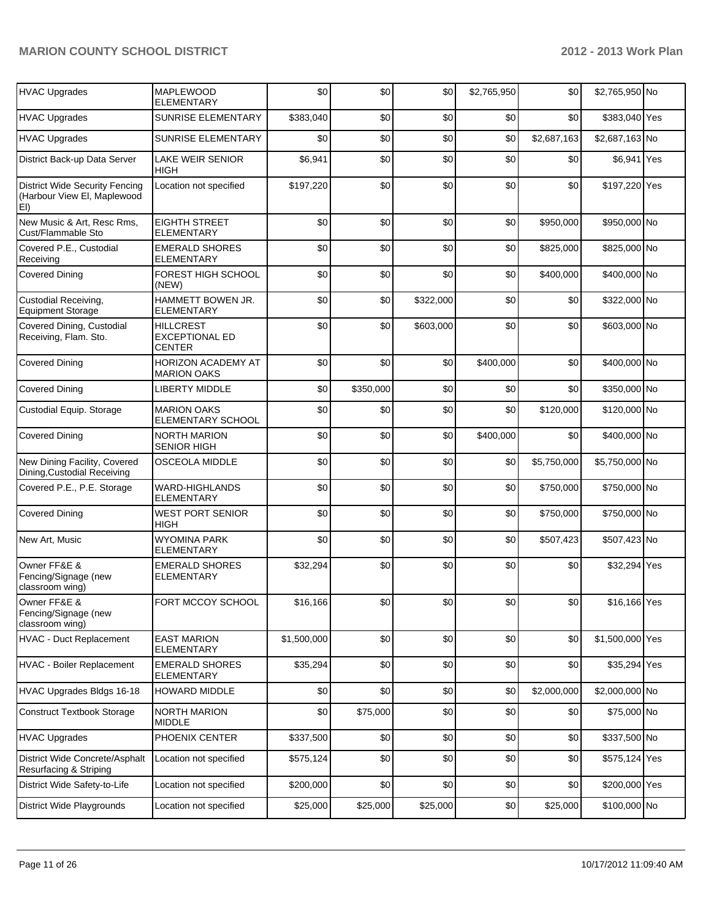| <b>HVAC Upgrades</b>                                                        | <b>MAPLEWOOD</b><br><b>ELEMENTARY</b>                      | \$0         | \$0       | \$0       | \$2,765,950 | \$0         | \$2,765,950 No  |  |
|-----------------------------------------------------------------------------|------------------------------------------------------------|-------------|-----------|-----------|-------------|-------------|-----------------|--|
| <b>HVAC Upgrades</b>                                                        | SUNRISE ELEMENTARY                                         | \$383,040   | \$0       | \$0       | \$0         | \$0         | \$383,040 Yes   |  |
| <b>HVAC Upgrades</b>                                                        | SUNRISE ELEMENTARY                                         | \$0         | \$0       | \$0       | \$0         | \$2,687,163 | \$2,687,163 No  |  |
| District Back-up Data Server                                                | <b>LAKE WEIR SENIOR</b><br><b>HIGH</b>                     | \$6,941     | \$0       | \$0       | \$0         | \$0         | \$6,941 Yes     |  |
| <b>District Wide Security Fencing</b><br>(Harbour View El, Maplewood<br>EI) | Location not specified                                     | \$197,220   | \$0       | \$0       | \$0         | \$0         | \$197,220 Yes   |  |
| New Music & Art, Resc Rms,<br>Cust/Flammable Sto                            | <b>EIGHTH STREET</b><br><b>ELEMENTARY</b>                  | \$0         | \$0       | \$0       | \$0         | \$950,000   | \$950,000 No    |  |
| Covered P.E., Custodial<br>Receiving                                        | <b>EMERALD SHORES</b><br><b>ELEMENTARY</b>                 | \$0         | \$0       | \$0       | \$0         | \$825,000   | \$825,000 No    |  |
| <b>Covered Dining</b>                                                       | FOREST HIGH SCHOOL<br>(NEW)                                | \$0         | \$0       | \$0       | \$0         | \$400,000   | \$400,000 No    |  |
| Custodial Receiving,<br><b>Equipment Storage</b>                            | HAMMETT BOWEN JR.<br><b>ELEMENTARY</b>                     | \$0         | \$0       | \$322,000 | \$0         | \$0         | \$322,000 No    |  |
| Covered Dining, Custodial<br>Receiving, Flam. Sto.                          | <b>HILLCREST</b><br><b>EXCEPTIONAL ED</b><br><b>CENTER</b> | \$0         | \$0       | \$603,000 | \$0         | \$0         | \$603,000 No    |  |
| <b>Covered Dining</b>                                                       | HORIZON ACADEMY AT<br><b>MARION OAKS</b>                   | \$0         | \$0       | \$0       | \$400,000   | \$0         | \$400,000 No    |  |
| <b>Covered Dining</b>                                                       | <b>LIBERTY MIDDLE</b>                                      | \$0         | \$350,000 | \$0       | \$0         | \$0         | \$350,000 No    |  |
| Custodial Equip. Storage                                                    | <b>MARION OAKS</b><br>ELEMENTARY SCHOOL                    | \$0         | \$0       | \$0       | \$0         | \$120,000   | \$120,000 No    |  |
| <b>Covered Dining</b>                                                       | <b>NORTH MARION</b><br><b>SENIOR HIGH</b>                  | \$0         | \$0       | \$0       | \$400,000   | \$0         | \$400,000 No    |  |
| New Dining Facility, Covered<br>Dining, Custodial Receiving                 | <b>OSCEOLA MIDDLE</b>                                      | \$0         | \$0       | \$0       | \$0         | \$5,750,000 | \$5,750,000 No  |  |
| Covered P.E., P.E. Storage                                                  | <b>WARD-HIGHLANDS</b><br><b>ELEMENTARY</b>                 | \$0         | \$0       | \$0       | \$0         | \$750,000   | \$750,000 No    |  |
| <b>Covered Dining</b>                                                       | <b>WEST PORT SENIOR</b><br>HIGH                            | \$0         | \$0       | \$0       | \$0         | \$750,000   | \$750,000 No    |  |
| New Art, Music                                                              | <b>WYOMINA PARK</b><br>ELEMENTARY                          | \$0         | \$0       | \$0       | \$0         | \$507,423   | \$507,423 No    |  |
| Owner FF&E &<br>Fencing/Signage (new<br>classroom wing)                     | <b>EMERALD SHORES</b><br><b>ELEMENTARY</b>                 | \$32,294    | \$0       | \$0       | \$0         | \$0         | \$32,294 Yes    |  |
| Owner FF&E &<br>Fencing/Signage (new<br>classroom wing)                     | FORT MCCOY SCHOOL                                          | \$16,166    | \$0       | \$0       | \$0         | \$0         | \$16,166 Yes    |  |
| <b>HVAC - Duct Replacement</b>                                              | <b>EAST MARION</b><br><b>ELEMENTARY</b>                    | \$1,500,000 | \$0       | \$0       | \$0         | \$0         | \$1,500,000 Yes |  |
| <b>HVAC</b> - Boiler Replacement                                            | <b>EMERALD SHORES</b><br><b>ELEMENTARY</b>                 | \$35,294    | \$0       | \$0       | \$0         | \$0         | \$35,294 Yes    |  |
| HVAC Upgrades Bldgs 16-18                                                   | <b>HOWARD MIDDLE</b>                                       | \$0         | \$0       | \$0       | \$0         | \$2,000,000 | \$2,000,000 No  |  |
| <b>Construct Textbook Storage</b>                                           | NORTH MARION<br><b>MIDDLE</b>                              | \$0         | \$75,000  | \$0       | \$0         | \$0         | \$75,000 No     |  |
| <b>HVAC Upgrades</b>                                                        | PHOENIX CENTER                                             | \$337,500   | \$0       | \$0       | \$0         | \$0         | \$337,500 No    |  |
| District Wide Concrete/Asphalt<br>Resurfacing & Striping                    | Location not specified                                     | \$575,124   | \$0       | \$0       | \$0         | \$0         | \$575,124 Yes   |  |
| District Wide Safety-to-Life                                                | Location not specified                                     | \$200,000   | \$0       | \$0       | \$0         | \$0         | \$200,000 Yes   |  |
| District Wide Playgrounds                                                   | Location not specified                                     | \$25,000    | \$25,000  | \$25,000  | \$0         | \$25,000    | \$100,000 No    |  |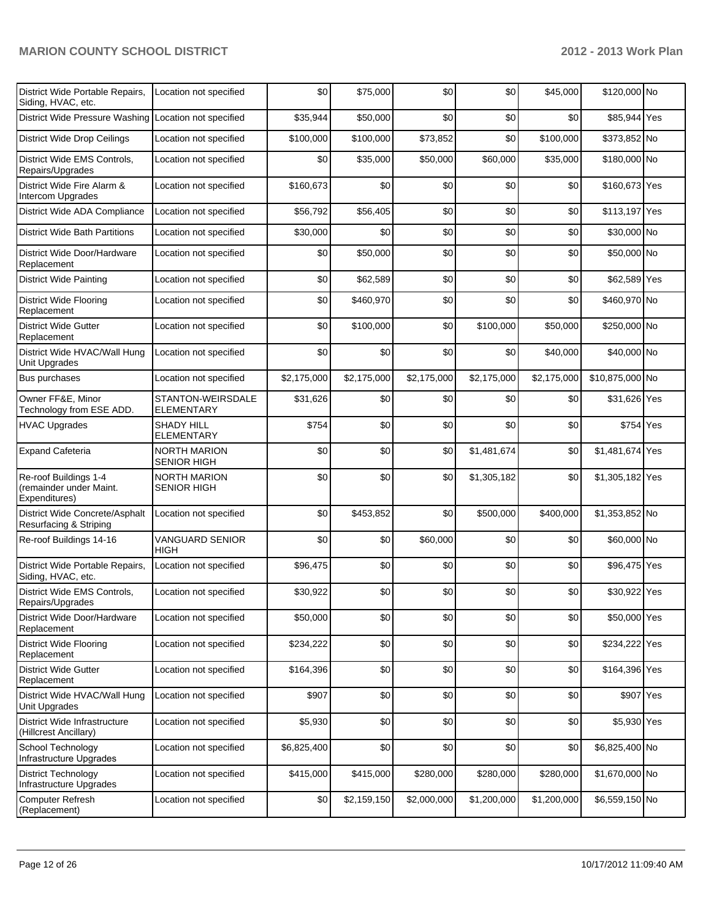| District Wide Portable Repairs,<br>Siding, HVAC, etc.             | Location not specified                    | \$0         | \$75,000    | \$0         | \$0         | \$45,000    | \$120,000 No    |  |
|-------------------------------------------------------------------|-------------------------------------------|-------------|-------------|-------------|-------------|-------------|-----------------|--|
| District Wide Pressure Washing                                    | Location not specified                    | \$35,944    | \$50,000    | \$0         | \$0         | \$0         | \$85,944 Yes    |  |
| District Wide Drop Ceilings                                       | Location not specified                    | \$100,000   | \$100,000   | \$73,852    | \$0         | \$100,000   | \$373,852 No    |  |
| District Wide EMS Controls,<br>Repairs/Upgrades                   | Location not specified                    | \$0         | \$35,000    | \$50,000    | \$60,000    | \$35,000    | \$180,000 No    |  |
| District Wide Fire Alarm &<br>Intercom Upgrades                   | Location not specified                    | \$160,673   | \$0         | \$0         | \$0         | \$0         | \$160,673 Yes   |  |
| District Wide ADA Compliance                                      | Location not specified                    | \$56,792    | \$56,405    | \$0         | \$0         | \$0         | \$113,197 Yes   |  |
| <b>District Wide Bath Partitions</b>                              | Location not specified                    | \$30,000    | \$0         | \$0         | \$0         | \$0         | \$30,000 No     |  |
| District Wide Door/Hardware<br>Replacement                        | Location not specified                    | \$0         | \$50,000    | \$0         | \$0         | \$0         | \$50,000 No     |  |
| <b>District Wide Painting</b>                                     | Location not specified                    | \$0         | \$62,589    | \$0         | \$0         | \$0         | \$62,589 Yes    |  |
| <b>District Wide Flooring</b><br>Replacement                      | Location not specified                    | \$0         | \$460,970   | \$0         | \$0         | \$0         | \$460,970 No    |  |
| <b>District Wide Gutter</b><br>Replacement                        | Location not specified                    | \$0         | \$100,000   | \$0         | \$100,000   | \$50,000    | \$250,000 No    |  |
| District Wide HVAC/Wall Hung<br>Unit Upgrades                     | Location not specified                    | \$0         | \$0         | \$0         | \$0         | \$40,000    | \$40,000 No     |  |
| <b>Bus purchases</b>                                              | Location not specified                    | \$2,175,000 | \$2,175,000 | \$2,175,000 | \$2,175,000 | \$2,175,000 | \$10,875,000 No |  |
| Owner FF&E, Minor<br>Technology from ESE ADD.                     | STANTON-WEIRSDALE<br><b>ELEMENTARY</b>    | \$31,626    | \$0         | \$0         | \$0         | \$0         | \$31,626 Yes    |  |
| <b>HVAC Upgrades</b>                                              | <b>SHADY HILL</b><br>ELEMENTARY           | \$754       | \$0         | \$0         | \$0         | \$0         | \$754 Yes       |  |
| <b>Expand Cafeteria</b>                                           | NORTH MARION<br><b>SENIOR HIGH</b>        | \$0         | \$0         | \$0         | \$1,481,674 | \$0         | \$1,481,674 Yes |  |
| Re-roof Buildings 1-4<br>(remainder under Maint.<br>Expenditures) | <b>NORTH MARION</b><br><b>SENIOR HIGH</b> | \$0         | \$0         | \$0         | \$1,305,182 | \$0         | \$1,305,182 Yes |  |
| District Wide Concrete/Asphalt<br>Resurfacing & Striping          | Location not specified                    | \$0         | \$453,852   | \$0         | \$500,000   | \$400,000   | \$1,353,852 No  |  |
| Re-roof Buildings 14-16                                           | <b>VANGUARD SENIOR</b><br>HIGH            | \$0         | \$0         | \$60,000    | \$0         | \$0         | \$60,000 No     |  |
| District Wide Portable Repairs,<br>Siding, HVAC, etc.             | Location not specified                    | \$96,475    | \$0         | \$0         | \$0         | \$0         | \$96,475 Yes    |  |
| District Wide EMS Controls,<br>Repairs/Upgrades                   | Location not specified                    | \$30,922    | \$0         | \$0         | \$0         | \$0         | \$30,922 Yes    |  |
| District Wide Door/Hardware<br>Replacement                        | Location not specified                    | \$50,000    | \$0         | \$0         | \$0         | \$0         | \$50,000 Yes    |  |
| <b>District Wide Flooring</b><br>Replacement                      | Location not specified                    | \$234,222   | \$0         | \$0         | \$0         | \$0         | \$234,222 Yes   |  |
| <b>District Wide Gutter</b><br>Replacement                        | Location not specified                    | \$164,396   | \$0         | \$0         | \$0         | \$0         | \$164,396 Yes   |  |
| District Wide HVAC/Wall Hung<br>Unit Upgrades                     | Location not specified                    | \$907       | \$0         | \$0         | \$0         | \$0         | \$907 Yes       |  |
| District Wide Infrastructure<br>(Hillcrest Ancillary)             | Location not specified                    | \$5,930     | \$0         | \$0         | \$0         | \$0         | \$5,930 Yes     |  |
| School Technology<br>Infrastructure Upgrades                      | Location not specified                    | \$6,825,400 | \$0         | \$0         | \$0         | \$0         | \$6,825,400 No  |  |
| <b>District Technology</b><br>Infrastructure Upgrades             | Location not specified                    | \$415,000   | \$415,000   | \$280,000   | \$280,000   | \$280,000   | \$1,670,000 No  |  |
| <b>Computer Refresh</b><br>(Replacement)                          | Location not specified                    | \$0         | \$2,159,150 | \$2,000,000 | \$1,200,000 | \$1,200,000 | \$6,559,150 No  |  |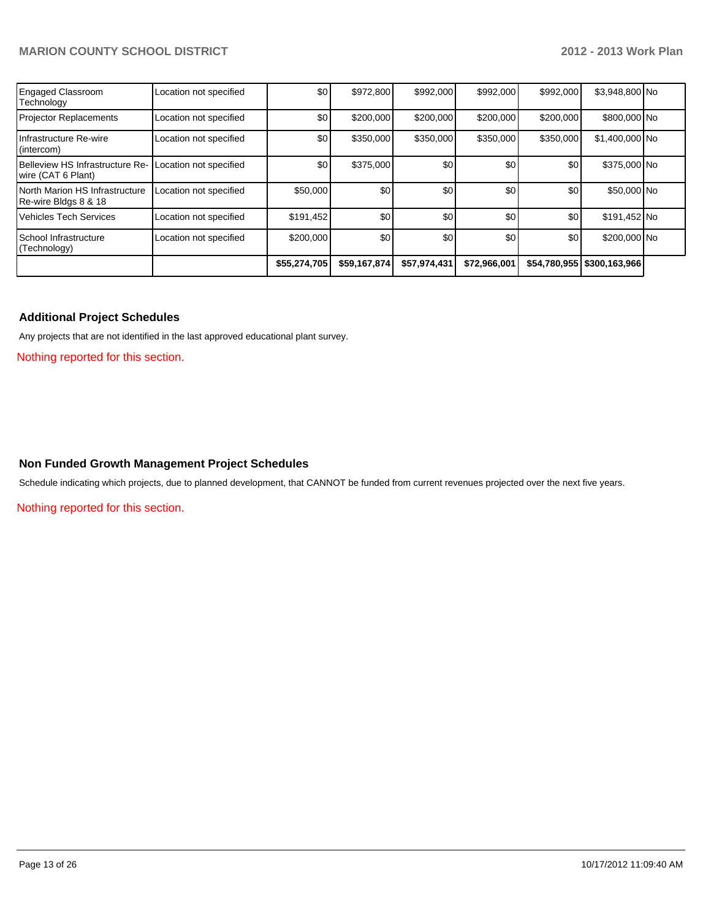| <b>Engaged Classroom</b><br>Technology                 | Location not specified | \$0          | \$972,800    | \$992,000    | \$992,000    | \$992,000 | \$3,948,800 No               |  |
|--------------------------------------------------------|------------------------|--------------|--------------|--------------|--------------|-----------|------------------------------|--|
| <b>Projector Replacements</b>                          | Location not specified | \$0          | \$200,000    | \$200,000    | \$200,000    | \$200,000 | \$800,000 No                 |  |
| Infrastructure Re-wire<br>(intercom)                   | Location not specified | \$0          | \$350,000    | \$350,000    | \$350,000    | \$350,000 | \$1,400,000 No               |  |
| Belleview HS Infrastructure Re-<br>wire (CAT 6 Plant)  | Location not specified | \$0          | \$375,000    | \$0          | \$0          | \$0       | \$375,000 No                 |  |
| North Marion HS Infrastructure<br>Re-wire Bldgs 8 & 18 | Location not specified | \$50,000     | \$0          | \$0          | \$0          | \$0       | \$50,000 No                  |  |
| <b>Vehicles Tech Services</b>                          | Location not specified | \$191,452    | \$0          | \$0          | \$0          | \$0       | \$191,452 No                 |  |
| School Infrastructure<br>(Technology)                  | Location not specified | \$200,000    | \$0          | \$0          | \$0          | \$0       | \$200,000 No                 |  |
|                                                        |                        | \$55,274,705 | \$59,167,874 | \$57,974,431 | \$72,966,001 |           | \$54,780,955   \$300,163,966 |  |

#### **Additional Project Schedules**

Any projects that are not identified in the last approved educational plant survey.

Nothing reported for this section.

#### **Non Funded Growth Management Project Schedules**

Schedule indicating which projects, due to planned development, that CANNOT be funded from current revenues projected over the next five years.

Nothing reported for this section.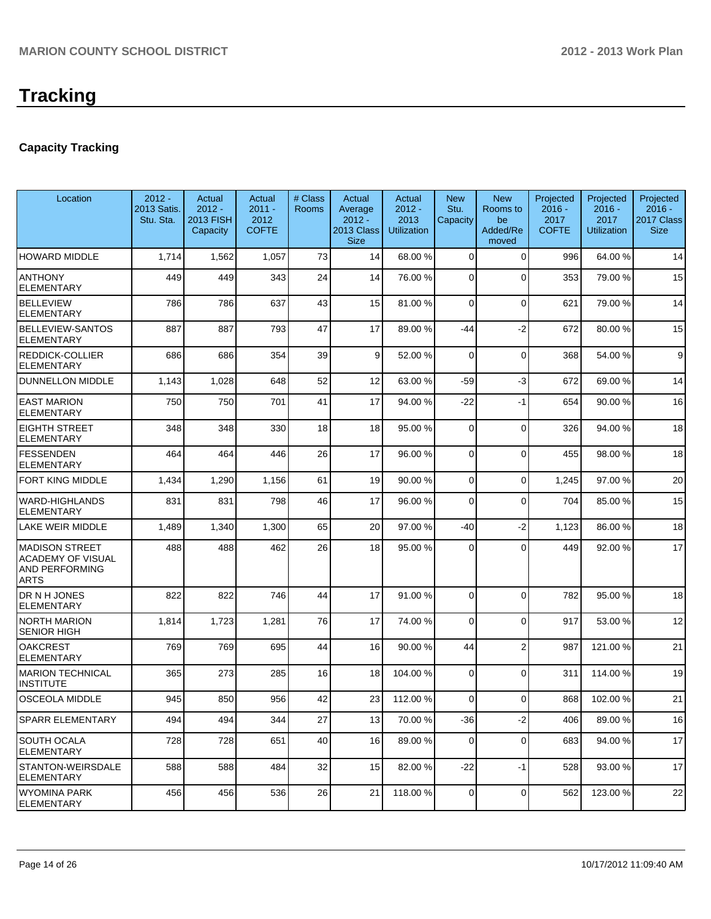## **Capacity Tracking**

| Location                                                                           | $2012 -$<br>2013 Satis.<br>Stu. Sta. | Actual<br>$2012 -$<br>2013 FISH<br>Capacity | Actual<br>$2011 -$<br>2012<br><b>COFTE</b> | # Class<br><b>Rooms</b> | Actual<br>Average<br>$2012 -$<br>2013 Class<br><b>Size</b> | Actual<br>$2012 -$<br>2013<br><b>Utilization</b> | <b>New</b><br>Stu.<br>Capacity | <b>New</b><br>Rooms to<br>be<br>Added/Re<br>moved | Projected<br>$2016 -$<br>2017<br><b>COFTE</b> | Projected<br>$2016 -$<br>2017<br><b>Utilization</b> | Projected<br>$2016 -$<br>2017 Class<br><b>Size</b> |
|------------------------------------------------------------------------------------|--------------------------------------|---------------------------------------------|--------------------------------------------|-------------------------|------------------------------------------------------------|--------------------------------------------------|--------------------------------|---------------------------------------------------|-----------------------------------------------|-----------------------------------------------------|----------------------------------------------------|
| <b>HOWARD MIDDLE</b>                                                               | 1,714                                | 1,562                                       | 1,057                                      | 73                      | 14                                                         | 68.00 %                                          | $\Omega$                       | $\Omega$                                          | 996                                           | 64.00%                                              | 14                                                 |
| Ianthony<br><b>ELEMENTARY</b>                                                      | 449                                  | 449                                         | 343                                        | 24                      | 14                                                         | 76.00 %                                          | 0                              | $\Omega$                                          | 353                                           | 79.00 %                                             | 15                                                 |
| <b>BELLEVIEW</b><br><b>ELEMENTARY</b>                                              | 786                                  | 786                                         | 637                                        | 43                      | 15                                                         | 81.00 %                                          | $\Omega$                       | $\Omega$                                          | 621                                           | 79.00 %                                             | 14                                                 |
| <b>BELLEVIEW-SANTOS</b><br>ELEMENTARY                                              | 887                                  | 887                                         | 793                                        | 47                      | 17                                                         | 89.00 %                                          | -44                            | $-2$                                              | 672                                           | 80.00%                                              | 15                                                 |
| <b>REDDICK-COLLIER</b><br><b>ELEMENTARY</b>                                        | 686                                  | 686                                         | 354                                        | 39                      | 9                                                          | 52.00 %                                          | 0                              | $\Omega$                                          | 368                                           | 54.00 %                                             | 9                                                  |
| <b>DUNNELLON MIDDLE</b>                                                            | 1,143                                | 1,028                                       | 648                                        | 52                      | 12                                                         | 63.00 %                                          | $-59$                          | $-3$                                              | 672                                           | 69.00%                                              | 14                                                 |
| <b>EAST MARION</b><br><b>ELEMENTARY</b>                                            | 750                                  | 750                                         | 701                                        | 41                      | 17                                                         | 94.00 %                                          | -22                            | $-1$                                              | 654                                           | 90.00%                                              | 16                                                 |
| <b>EIGHTH STREET</b><br><b>ELEMENTARY</b>                                          | 348                                  | 348                                         | 330                                        | 18                      | 18                                                         | 95.00 %                                          | 0                              | $\Omega$                                          | 326                                           | 94.00 %                                             | 18                                                 |
| <b>FESSENDEN</b><br><b>ELEMENTARY</b>                                              | 464                                  | 464                                         | 446                                        | 26                      | 17                                                         | 96.00 %                                          | $\Omega$                       | $\Omega$                                          | 455                                           | 98.00 %                                             | 18                                                 |
| <b>FORT KING MIDDLE</b>                                                            | 1,434                                | 1,290                                       | 1,156                                      | 61                      | 19                                                         | 90.00 %                                          | 0                              | $\overline{0}$                                    | 1,245                                         | 97.00 %                                             | 20                                                 |
| <b>WARD-HIGHLANDS</b><br><b>ELEMENTARY</b>                                         | 831                                  | 831                                         | 798                                        | 46                      | 17                                                         | 96.00 %                                          | 0                              | $\Omega$                                          | 704                                           | 85.00 %                                             | 15                                                 |
| <b>LAKE WEIR MIDDLE</b>                                                            | 1,489                                | 1,340                                       | 1,300                                      | 65                      | 20                                                         | 97.00 %                                          | -40                            | $-2$                                              | 1,123                                         | 86.00 %                                             | 18                                                 |
| MADISON STREET<br><b>ACADEMY OF VISUAL</b><br><b>AND PERFORMING</b><br><b>ARTS</b> | 488                                  | 488                                         | 462                                        | 26                      | 18                                                         | 95.00 %                                          | $\Omega$                       | 0                                                 | 449                                           | 92.00%                                              | 17                                                 |
| DR N H JONES<br>ELEMENTARY                                                         | 822                                  | 822                                         | 746                                        | 44                      | 17                                                         | 91.00 %                                          | 0                              | $\Omega$                                          | 782                                           | 95.00 %                                             | 18                                                 |
| INORTH MARION<br><b>SENIOR HIGH</b>                                                | 1,814                                | 1,723                                       | 1,281                                      | 76                      | 17                                                         | 74.00 %                                          | $\Omega$                       | $\Omega$                                          | 917                                           | 53.00 %                                             | 12                                                 |
| <b>OAKCREST</b><br><b>ELEMENTARY</b>                                               | 769                                  | 769                                         | 695                                        | 44                      | 16                                                         | 90.00 %                                          | 44                             | $\overline{2}$                                    | 987                                           | 121.00%                                             | 21                                                 |
| <b>IMARION TECHNICAL</b><br><b>INSTITUTE</b>                                       | 365                                  | 273                                         | 285                                        | 16                      | 18                                                         | 104.00 %                                         | 0                              | $\Omega$                                          | 311                                           | 114.00%                                             | 19                                                 |
| <b>OSCEOLA MIDDLE</b>                                                              | 945                                  | 850                                         | 956                                        | 42                      | 23                                                         | 112.00 %                                         | 0                              | $\Omega$                                          | 868                                           | 102.00%                                             | 21                                                 |
| SPARR ELEMENTARY                                                                   | 494                                  | 494                                         | 344                                        | 27                      | 13                                                         | 70.00 %                                          | $-36$                          | $-2$                                              | 406                                           | 89.00 %                                             | 16                                                 |
| SOUTH OCALA<br><b>IELEMENTARY</b>                                                  | 728                                  | 728                                         | 651                                        | 40                      | 16                                                         | 89.00 %                                          | 0                              | 0                                                 | 683                                           | 94.00 %                                             | 17                                                 |
| <b>STANTON-WEIRSDALE</b><br><b>ELEMENTARY</b>                                      | 588                                  | 588                                         | 484                                        | 32                      | 15                                                         | 82.00 %                                          | $-22$                          | $-1$                                              | 528                                           | 93.00 %                                             | 17                                                 |
| WYOMINA PARK<br>ELEMENTARY                                                         | 456                                  | 456                                         | 536                                        | 26                      | 21                                                         | 118.00 %                                         | 0                              | $\overline{0}$                                    | 562                                           | 123.00 %                                            | 22                                                 |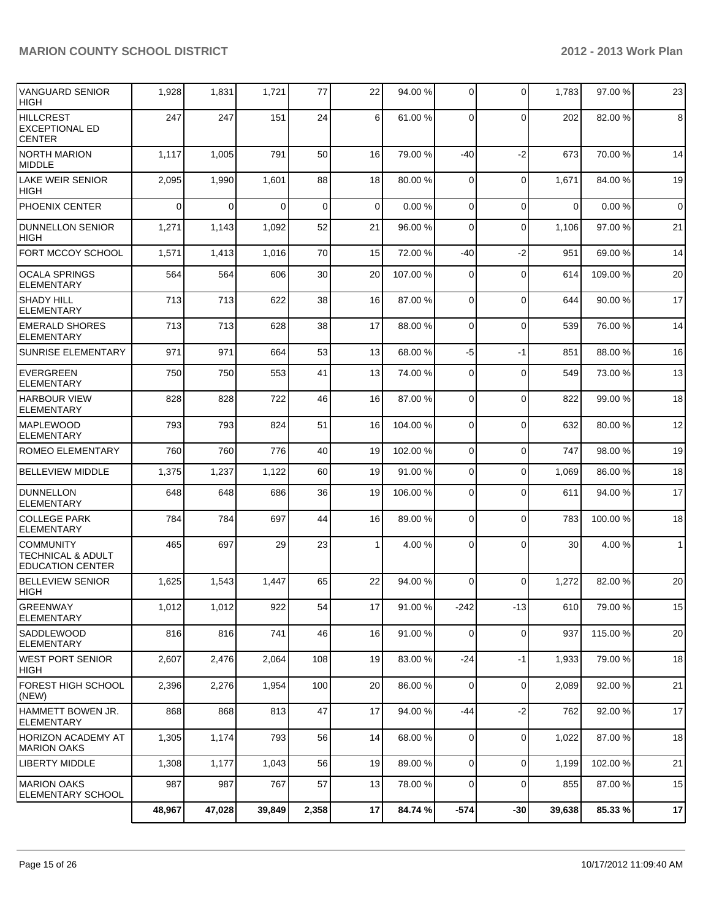| VANGUARD SENIOR<br><b>HIGH</b>                                              | 1,928    | 1,831       | 1,721    | 77          | 22              | 94.00 %  | $\overline{0}$ | 0              | 1,783       | 97.00 %  | 23             |
|-----------------------------------------------------------------------------|----------|-------------|----------|-------------|-----------------|----------|----------------|----------------|-------------|----------|----------------|
| <b>HILLCREST</b><br>EXCEPTIONAL ED<br><b>CENTER</b>                         | 247      | 247         | 151      | 24          | 6 <sup>1</sup>  | 61.00%   | $\Omega$       | $\mathbf{0}$   | 202         | 82.00%   | 8              |
| NORTH MARION<br><b>MIDDLE</b>                                               | 1,117    | 1,005       | 791      | 50          | 16              | 79.00 %  | $-40$          | $-2$           | 673         | 70.00%   | 14             |
| LAKE WEIR SENIOR<br><b>HIGH</b>                                             | 2,095    | 1,990       | 1,601    | 88          | 18              | 80.00 %  | $\Omega$       | $\mathbf 0$    | 1,671       | 84.00%   | 19             |
| PHOENIX CENTER                                                              | $\Omega$ | $\mathbf 0$ | $\Omega$ | $\mathbf 0$ | $\Omega$        | 0.00%    | $\Omega$       | 0              | $\mathbf 0$ | 0.00%    | $\overline{0}$ |
| <b>DUNNELLON SENIOR</b><br><b>HIGH</b>                                      | 1,271    | 1,143       | 1,092    | 52          | 21              | 96.00 %  | $\Omega$       | 0              | 1,106       | 97.00 %  | 21             |
| FORT MCCOY SCHOOL                                                           | 1,571    | 1,413       | 1,016    | 70          | 15              | 72.00 %  | $-40$          | $-2$           | 951         | 69.00 %  | 14             |
| <b>OCALA SPRINGS</b><br><b>ELEMENTARY</b>                                   | 564      | 564         | 606      | 30          | 20              | 107.00 % | $\Omega$       | $\mathbf{0}$   | 614         | 109.00%  | 20             |
| <b>SHADY HILL</b><br><b>ELEMENTARY</b>                                      | 713      | 713         | 622      | 38          | 16              | 87.00 %  | $\Omega$       | $\mathbf 0$    | 644         | 90.00%   | 17             |
| <b>EMERALD SHORES</b><br><b>ELEMENTARY</b>                                  | 713      | 713         | 628      | 38          | 17              | 88.00 %  | $\Omega$       | $\mathbf 0$    | 539         | 76.00 %  | 14             |
| <b>SUNRISE ELEMENTARY</b>                                                   | 971      | 971         | 664      | 53          | 13              | 68.00 %  | $-5$           | $-1$           | 851         | 88.00%   | 16             |
| <b>EVERGREEN</b><br><b>ELEMENTARY</b>                                       | 750      | 750         | 553      | 41          | 13              | 74.00 %  | $\Omega$       | $\mathbf{0}$   | 549         | 73.00 %  | 13             |
| <b>HARBOUR VIEW</b><br><b>ELEMENTARY</b>                                    | 828      | 828         | 722      | 46          | 16              | 87.00 %  | $\overline{0}$ | $\mathbf{0}$   | 822         | 99.00 %  | 18             |
| <b>MAPLEWOOD</b><br><b>ELEMENTARY</b>                                       | 793      | 793         | 824      | 51          | 16              | 104.00 % | $\overline{0}$ | $\mathbf 0$    | 632         | 80.00 %  | 12             |
| ROMEO ELEMENTARY                                                            | 760      | 760         | 776      | 40          | 19              | 102.00 % | $\overline{0}$ | $\mathbf 0$    | 747         | 98.00 %  | 19             |
| <b>BELLEVIEW MIDDLE</b>                                                     | 1,375    | 1,237       | 1,122    | 60          | 19              | 91.00 %  | $\overline{0}$ | $\mathbf 0$    | 1,069       | 86.00%   | 18             |
| <b>DUNNELLON</b><br><b>ELEMENTARY</b>                                       | 648      | 648         | 686      | 36          | 19              | 106.00 % | $\Omega$       | $\Omega$       | 611         | 94.00%   | 17             |
| <b>COLLEGE PARK</b><br><b>ELEMENTARY</b>                                    | 784      | 784         | 697      | 44          | 16              | 89.00 %  | $\overline{0}$ | 0              | 783         | 100.00 % | 18             |
| <b>COMMUNITY</b><br><b>TECHNICAL &amp; ADULT</b><br><b>EDUCATION CENTER</b> | 465      | 697         | 29       | 23          | 1               | 4.00 %   | $\Omega$       | $\Omega$       | 30          | 4.00 %   | $\mathbf{1}$   |
| <b>BELLEVIEW SENIOR</b><br>HIGH                                             | 1,625    | 1,543       | 1,447    | 65          | 22              | 94.00 %  | $\Omega$       | $\Omega$       | 1,272       | 82.00%   | 20             |
| GREENWAY<br><b>ELEMENTARY</b>                                               | 1,012    | 1,012       | 922      | 54          | 17 <sup>1</sup> | 91.00 %  | $-242$         | $-13$          | 610         | 79.00 %  | 15             |
| <b>SADDLEWOOD</b><br>ELEMENTARY                                             | 816      | 816         | 741      | 46          | 16              | 91.00 %  | $\overline{0}$ | 0              | 937         | 115.00 % | 20             |
| WEST PORT SENIOR<br> HIGH                                                   | 2,607    | 2,476       | 2,064    | 108         | 19              | 83.00 %  | $-24$          | $-1$           | 1,933       | 79.00 %  | 18             |
| FOREST HIGH SCHOOL<br>(NEW)                                                 | 2,396    | 2,276       | 1,954    | 100         | 20 <sub>2</sub> | 86.00 %  | $\overline{0}$ | $\mathbf 0$    | 2,089       | 92.00 %  | 21             |
| HAMMETT BOWEN JR.<br><b>ELEMENTARY</b>                                      | 868      | 868         | 813      | 47          | 17              | 94.00 %  | -44            | $-2$           | 762         | 92.00 %  | 17             |
| HORIZON ACADEMY AT<br> MARION OAKS                                          | 1,305    | 1,174       | 793      | 56          | 14              | 68.00 %  | $\Omega$       | $\mathbf 0$    | 1,022       | 87.00%   | 18             |
| LIBERTY MIDDLE                                                              | 1,308    | 1,177       | 1,043    | 56          | 19              | 89.00 %  | $\overline{0}$ | $\overline{0}$ | 1,199       | 102.00%  | 21             |
| MARION OAKS<br>ELEMENTARY SCHOOL                                            | 987      | 987         | 767      | 57          | 13              | 78.00 %  | $\overline{0}$ | 0              | 855         | 87.00 %  | 15             |
|                                                                             | 48,967   | 47,028      | 39,849   | 2,358       | 17              | 84.74 %  | $-574$         | $-30$          | 39,638      | 85.33%   | 17             |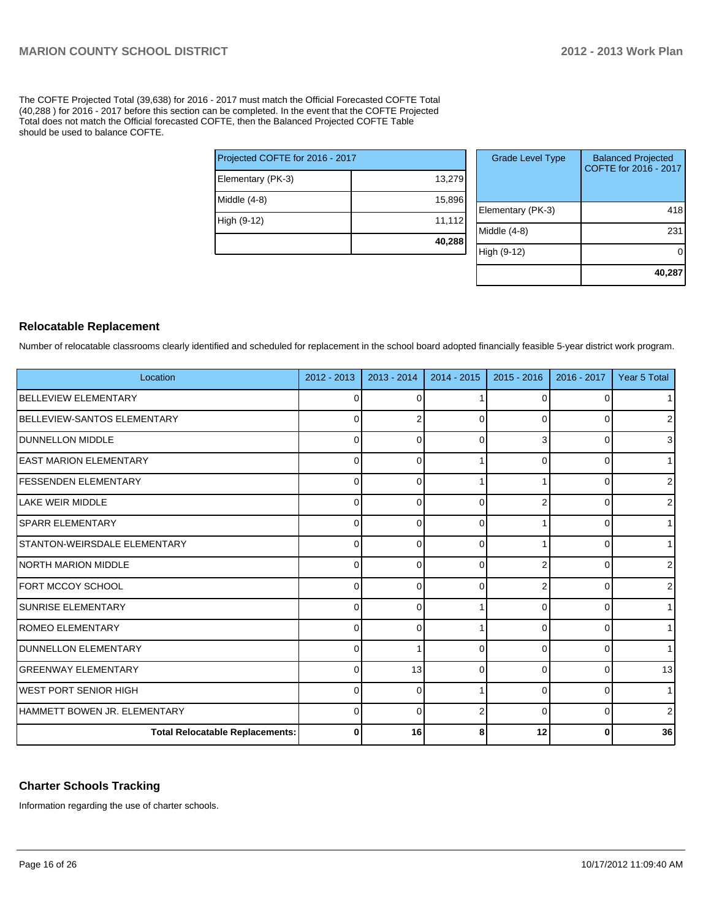The COFTE Projected Total (39,638) for 2016 - 2017 must match the Official Forecasted COFTE Total (40,288 ) for 2016 - 2017 before this section can be completed. In the event that the COFTE Projected Total does not match the Official forecasted COFTE, then the Balanced Projected COFTE Table should be used to balance COFTE.

| Projected COFTE for 2016 - 2017 |        |
|---------------------------------|--------|
| Elementary (PK-3)               | 13,279 |
| Middle (4-8)                    | 15,896 |
| High (9-12)                     | 11,112 |
|                                 | 40,288 |

| <b>Grade Level Type</b> | <b>Balanced Projected</b><br>COFTE for 2016 - 2017 |
|-------------------------|----------------------------------------------------|
| Elementary (PK-3)       | 418                                                |
| Middle (4-8)            | 23                                                 |
| High (9-12)             |                                                    |
|                         | 40,287                                             |

## **Relocatable Replacement**

Number of relocatable classrooms clearly identified and scheduled for replacement in the school board adopted financially feasible 5-year district work program.

| Location                               | 2012 - 2013 | 2013 - 2014 | 2014 - 2015  | $2015 - 2016$ | 2016 - 2017  | Year 5 Total   |
|----------------------------------------|-------------|-------------|--------------|---------------|--------------|----------------|
| BELLEVIEW ELEMENTARY                   | 0           | 0           |              | 0             |              | 1 <sup>1</sup> |
| <b>IBELLEVIEW-SANTOS ELEMENTARY</b>    | 0           | 2           | $\Omega$     | 0             | O            | $\overline{2}$ |
| <b>DUNNELLON MIDDLE</b>                | 0           | 0           | 0            | 3             | $\Omega$     | 3 <sup>l</sup> |
| <b>EAST MARION ELEMENTARY</b>          | 0           | 0           |              | 0             | 0            | 11             |
| <b>FESSENDEN ELEMENTARY</b>            | 0           | $\Omega$    |              |               | ∩            | $\overline{2}$ |
| LLAKE WEIR MIDDLE                      | 0           | ∩           | 0            |               | n            | $\overline{2}$ |
| <b>SPARR ELEMENTARY</b>                | $\Omega$    | ∩           | 0            |               |              | 1              |
| STANTON-WEIRSDALE ELEMENTARY           | 0           | ∩           | 0            |               |              | 1 <sup>1</sup> |
| INORTH MARION MIDDLE                   | $\Omega$    | ∩           | <sup>0</sup> |               |              | $\overline{2}$ |
| <b>FORT MCCOY SCHOOL</b>               | $\Omega$    | r           | $\Omega$     |               |              | $\overline{2}$ |
| <b>SUNRISE ELEMENTARY</b>              | 0           | r           |              | U             | ∩            | 1 <sup>1</sup> |
| <b>ROMEO ELEMENTARY</b>                | $\Omega$    |             |              | U             | <sup>0</sup> | 1 <sup>1</sup> |
| <b>IDUNNELLON ELEMENTARY</b>           | $\Omega$    |             | 0            | 0             | ∩            | 1 <sup>1</sup> |
| IGREENWAY ELEMENTARY                   | 0           | 13          | 0            | $\Omega$      | $\Omega$     | 13             |
| IWEST PORT SENIOR HIGH                 | 0           | $\Omega$    |              | $\Omega$      | $\Omega$     | 1 <sup>1</sup> |
| HAMMETT BOWEN JR. ELEMENTARY           | 0           | $\Omega$    |              | $\Omega$      | $\Omega$     | $\overline{2}$ |
| <b>Total Relocatable Replacements:</b> | 0           | 16          | 8            | 12            | 0            | 36             |

#### **Charter Schools Tracking**

Information regarding the use of charter schools.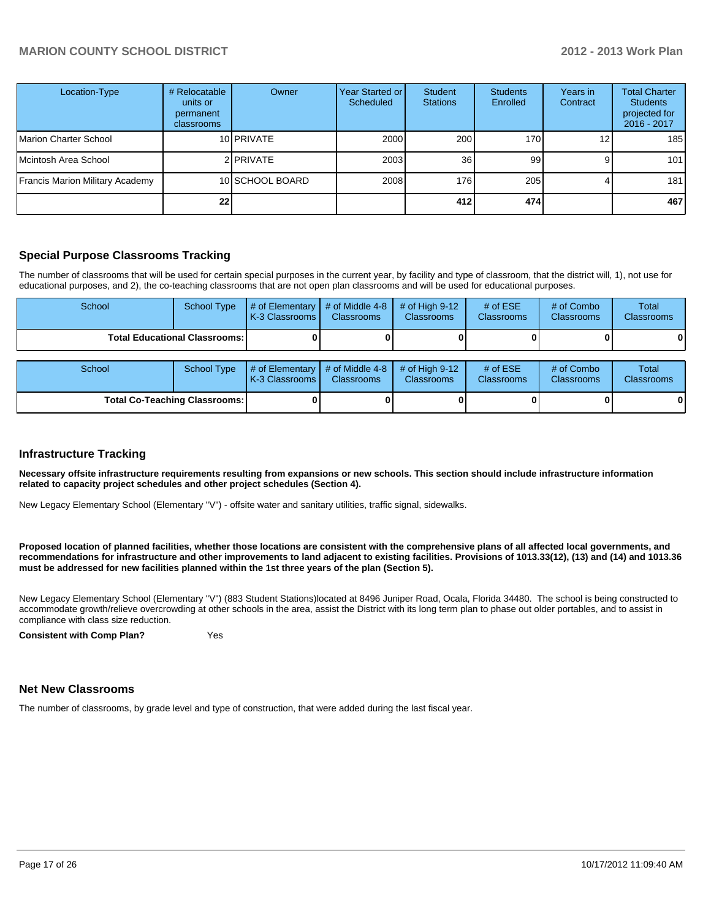| Location-Type                   | # Relocatable<br>units or<br>permanent<br>classrooms | Owner            | Year Started or<br>Scheduled | Student<br><b>Stations</b> | <b>Students</b><br>Enrolled | Years in<br>Contract | <b>Total Charter</b><br><b>Students</b><br>projected for<br>2016 - 2017 |
|---------------------------------|------------------------------------------------------|------------------|------------------------------|----------------------------|-----------------------------|----------------------|-------------------------------------------------------------------------|
| Marion Charter School           |                                                      | 10 PRIVATE       | 2000                         | 200                        | 170                         | 12 <sub>1</sub>      | 185                                                                     |
| Mcintosh Area School            |                                                      | 2 <b>PRIVATE</b> | 2003                         | <b>36</b>                  | 99                          |                      | 101                                                                     |
| Francis Marion Military Academy |                                                      | 10 SCHOOL BOARD  | 2008                         | 176                        | 205                         |                      | 181                                                                     |
|                                 | 22                                                   |                  |                              | 412                        | 474                         |                      | 467                                                                     |

### **Special Purpose Classrooms Tracking**

The number of classrooms that will be used for certain special purposes in the current year, by facility and type of classroom, that the district will, 1), not use for educational purposes, and 2), the co-teaching classrooms that are not open plan classrooms and will be used for educational purposes.

| School                                 | School Type | # of Elementary<br>K-3 Classrooms I    | # of Middle 4-8 $\vert$<br><b>Classrooms</b> | $\#$ of High 9-12<br><b>Classrooms</b> | # of $ESE$<br><b>Classrooms</b> | # of Combo<br><b>Classrooms</b> | Total<br><b>Classrooms</b> |
|----------------------------------------|-------------|----------------------------------------|----------------------------------------------|----------------------------------------|---------------------------------|---------------------------------|----------------------------|
| <b>Total Educational Classrooms: I</b> |             |                                        |                                              |                                        |                                 |                                 |                            |
|                                        |             |                                        |                                              |                                        |                                 |                                 |                            |
| School                                 | School Type | $\#$ of Elementary<br>K-3 Classrooms I | $#$ of Middle 4-8<br><b>Classrooms</b>       | # of High $9-12$<br><b>Classrooms</b>  | # of $ESE$<br><b>Classrooms</b> | # of Combo<br><b>Classrooms</b> | Total<br>Classrooms        |

**Total Co-Teaching Classrooms: 0 0 0 0 0 0**

#### **Infrastructure Tracking**

**Necessary offsite infrastructure requirements resulting from expansions or new schools. This section should include infrastructure information related to capacity project schedules and other project schedules (Section 4).**

New Legacy Elementary School (Elementary "V") - offsite water and sanitary utilities, traffic signal, sidewalks.

**Proposed location of planned facilities, whether those locations are consistent with the comprehensive plans of all affected local governments, and recommendations for infrastructure and other improvements to land adjacent to existing facilities. Provisions of 1013.33(12), (13) and (14) and 1013.36 must be addressed for new facilities planned within the 1st three years of the plan (Section 5).**

New Legacy Elementary School (Elementary "V") (883 Student Stations)located at 8496 Juniper Road, Ocala, Florida 34480. The school is being constructed to accommodate growth/relieve overcrowding at other schools in the area, assist the District with its long term plan to phase out older portables, and to assist in compliance with class size reduction.

**Consistent with Comp Plan?** Yes

#### **Net New Classrooms**

The number of classrooms, by grade level and type of construction, that were added during the last fiscal year.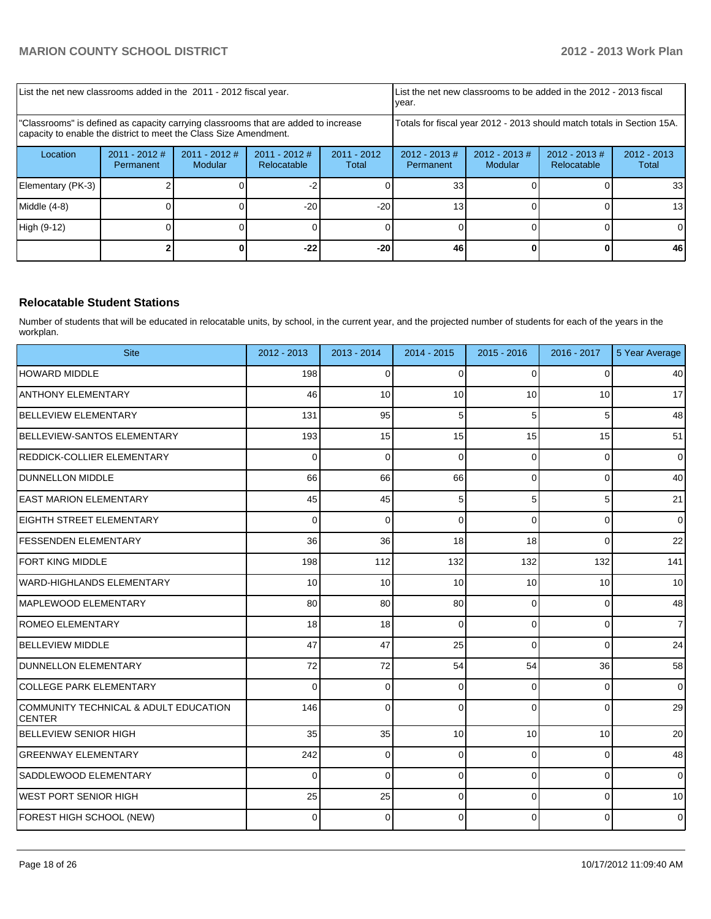| List the net new classrooms added in the 2011 - 2012 fiscal year.                                                                                       |                              |                            |                                                          |       | Llist the net new classrooms to be added in the 2012 - 2013 fiscal<br>Ivear. |                             |                                 |                        |
|---------------------------------------------------------------------------------------------------------------------------------------------------------|------------------------------|----------------------------|----------------------------------------------------------|-------|------------------------------------------------------------------------------|-----------------------------|---------------------------------|------------------------|
| "Classrooms" is defined as capacity carrying classrooms that are added to increase<br>capacity to enable the district to meet the Class Size Amendment. |                              |                            |                                                          |       | Totals for fiscal year 2012 - 2013 should match totals in Section 15A.       |                             |                                 |                        |
| Location                                                                                                                                                | $2011 - 2012$ #<br>Permanent | $2011 - 2012$ #<br>Modular | $2011 - 2012$ #<br>$2011 - 2012$<br>Relocatable<br>Total |       | $2012 - 2013 \#$<br>Permanent                                                | $2012 - 2013 \#$<br>Modular | $2012 - 2013 \#$<br>Relocatable | $2012 - 2013$<br>Total |
| Elementary (PK-3)                                                                                                                                       |                              |                            |                                                          |       | 33 <sub>1</sub>                                                              |                             |                                 | 33                     |
| Middle $(4-8)$                                                                                                                                          |                              |                            | $-20$                                                    | $-20$ | 131                                                                          |                             |                                 | 13                     |
| High (9-12)                                                                                                                                             |                              |                            |                                                          |       |                                                                              |                             |                                 |                        |
|                                                                                                                                                         |                              |                            | $-22$                                                    | $-20$ | 46                                                                           |                             |                                 | 46                     |

### **Relocatable Student Stations**

Number of students that will be educated in relocatable units, by school, in the current year, and the projected number of students for each of the years in the workplan.

| <b>Site</b>                                            | 2012 - 2013 | $2013 - 2014$ | 2014 - 2015 | $2015 - 2016$ | 2016 - 2017    | 5 Year Average |
|--------------------------------------------------------|-------------|---------------|-------------|---------------|----------------|----------------|
| <b>HOWARD MIDDLE</b>                                   | 198         | $\mathbf 0$   | $\Omega$    | 0             | 0              | 40             |
| <b>ANTHONY ELEMENTARY</b>                              | 46          | 10            | 10          | 10            | 10             | 17             |
| <b>BELLEVIEW ELEMENTARY</b>                            | 131         | 95            | 5           | 5             | 5              | 48             |
| <b>BELLEVIEW-SANTOS ELEMENTARY</b>                     | 193         | 15            | 15          | 15            | 15             | 51             |
| REDDICK-COLLIER ELEMENTARY                             | 0           | $\mathbf 0$   | $\Omega$    | 0             | 0              | $\mathbf 0$    |
| DUNNELLON MIDDLE                                       | 66          | 66            | 66          | 0             | 0              | 40             |
| <b>LEAST MARION ELEMENTARY</b>                         | 45          | 45            | 5           | 5             | 5              | 21             |
| <b>IEIGHTH STREET ELEMENTARY</b>                       | $\Omega$    | $\Omega$      | $\Omega$    | $\Omega$      | 0              | $\Omega$       |
| <b>IFESSENDEN ELEMENTARY</b>                           | 36          | 36            | 18          | 18            | 0              | 22             |
| FORT KING MIDDLE                                       | 198         | 112           | 132         | 132           | 132            | 141            |
| <b>WARD-HIGHLANDS ELEMENTARY</b>                       | 10          | 10            | 10          | 10            | 10             | 10             |
| MAPLEWOOD ELEMENTARY                                   | 80          | 80            | 80          | 0             | 0              | 48             |
| <b>ROMEO ELEMENTARY</b>                                | 18          | 18            | $\Omega$    | 0             | $\overline{0}$ | $\overline{7}$ |
| BELLEVIEW MIDDLE                                       | 47          | 47            | 25          | $\Omega$      | 0              | 24             |
| DUNNELLON ELEMENTARY                                   | 72          | 72            | 54          | 54            | 36             | 58             |
| <b>COLLEGE PARK ELEMENTARY</b>                         | 0           | $\mathbf 0$   | $\Omega$    | 0             | 0              | $\mathbf 0$    |
| COMMUNITY TECHNICAL & ADULT EDUCATION<br><b>CENTER</b> | 146         | $\mathbf 0$   | $\Omega$    | 0             | 0              | 29             |
| BELLEVIEW SENIOR HIGH                                  | 35          | 35            | 10          | 10            | 10             | 20             |
| <b>GREENWAY ELEMENTARY</b>                             | 242         | $\mathbf 0$   | $\Omega$    | 0             | 0              | 48             |
| SADDLEWOOD ELEMENTARY                                  | $\Omega$    | $\Omega$      | $\Omega$    | $\Omega$      | $\overline{0}$ | $\mathbf 0$    |
| <b>WEST PORT SENIOR HIGH</b>                           | 25          | 25            | $\Omega$    | $\Omega$      | 0              | 10             |
| FOREST HIGH SCHOOL (NEW)                               | 0           | $\mathbf 0$   | $\Omega$    | 0             | 0              | $\mathbf 0$    |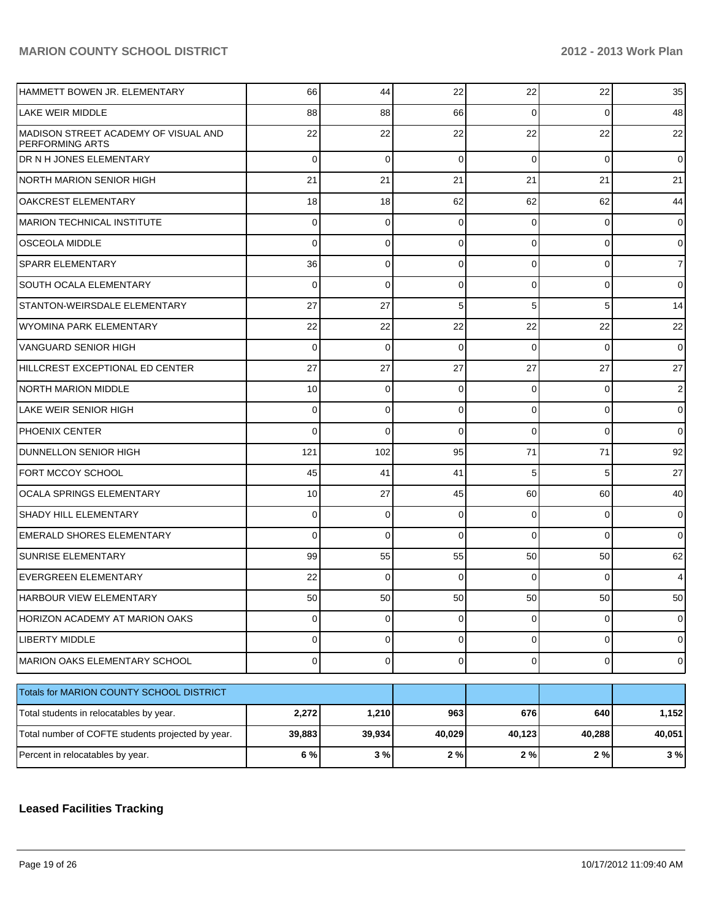| HAMMETT BOWEN JR. ELEMENTARY                            | 66              | 44              | 22             | 22             | 22             | 35             |
|---------------------------------------------------------|-----------------|-----------------|----------------|----------------|----------------|----------------|
| LAKE WEIR MIDDLE                                        | 88              | 88              | 66             | $\Omega$       | 0              | 48             |
| MADISON STREET ACADEMY OF VISUAL AND<br>PERFORMING ARTS | 22              | 22              | 22             | 22             | 22             | 22             |
| DR N H JONES ELEMENTARY                                 | 0               | $\mathbf 0$     | $\Omega$       | $\Omega$       | 0              | 0              |
| <b>NORTH MARION SENIOR HIGH</b>                         | 21              | 21              | 21             | 21             | 21             | 21             |
| OAKCREST ELEMENTARY                                     | 18              | 18              | 62             | 62             | 62             | 44             |
| <b>MARION TECHNICAL INSTITUTE</b>                       | $\Omega$        | 0               | $\Omega$       | $\Omega$       | 0              | 0              |
| <b>OSCEOLA MIDDLE</b>                                   | 0               | 0               | $\Omega$       | $\Omega$       | 0              | 0              |
| <b>SPARR ELEMENTARY</b>                                 | 36              | 0               | $\mathbf 0$    | $\Omega$       | 0              | $\overline{7}$ |
| <b>SOUTH OCALA ELEMENTARY</b>                           | 0               | 0               | $\Omega$       | $\Omega$       | 0              | 0              |
| STANTON-WEIRSDALE ELEMENTARY                            | 27              | 27              | 5              | 5              | 5              | 14             |
| WYOMINA PARK ELEMENTARY                                 | 22              | 22              | 22             | 22             | 22             | 22             |
| VANGUARD SENIOR HIGH                                    | $\Omega$        | 0               | $\Omega$       | $\Omega$       | 0              | 0              |
| HILLCREST EXCEPTIONAL ED CENTER                         | 27              | 27              | 27             | 27             | 27             | 27             |
| <b>NORTH MARION MIDDLE</b>                              | 10              | 0               | $\mathbf 0$    | $\Omega$       | 0              | 2              |
| LAKE WEIR SENIOR HIGH                                   | $\Omega$        | 0               | 0              | $\Omega$       | 0              | 0              |
| PHOENIX CENTER                                          | 0               | 0               | $\Omega$       | $\Omega$       | 0              | 0              |
| <b>DUNNELLON SENIOR HIGH</b>                            | 121             | 102             | 95             | 71             | 71             | 92             |
| FORT MCCOY SCHOOL                                       | 45              | 41              | 41             | 5              | 5              | 27             |
| OCALA SPRINGS ELEMENTARY                                | 10              | 27              | 45             | 60             | 60             | 40             |
| <b>SHADY HILL ELEMENTARY</b>                            | $\Omega$        | 0               | $\mathbf 0$    | $\mathbf 0$    | 0              | 0              |
| <b>EMERALD SHORES ELEMENTARY</b>                        | 0               | $\Omega$        | $\Omega$       | $\Omega$       | $\Omega$       | 0              |
| <b>SUNRISE ELEMENTARY</b>                               | 99              | 55              | 55             | 50             | 50             | 62             |
| <b>EVERGREEN ELEMENTARY</b>                             | 22              | $\Omega$        | $\Omega$       | $\Omega$       | 0              | 4              |
| IHARBOUR VIEW ELEMENTARY                                | 50 <sub>1</sub> | 50 <sub>1</sub> | 50             | 50             | 50             | 50             |
| HORIZON ACADEMY AT MARION OAKS                          | $\Omega$        | $\mathbf 0$     | $\mathbf 0$    | $\overline{0}$ | $\overline{0}$ | 0              |
| LIBERTY MIDDLE                                          | $\Omega$        | $\mathbf 0$     | $\overline{0}$ | $\overline{0}$ | $\overline{0}$ | $\overline{0}$ |
| MARION OAKS ELEMENTARY SCHOOL                           | $\overline{0}$  | $\mathbf 0$     | $\mathbf 0$    | $\overline{0}$ | $\overline{0}$ | $\overline{0}$ |
| Totals for MARION COUNTY SCHOOL DISTRICT                |                 |                 |                |                |                |                |
| Total students in relocatables by year.                 | 2,272           | 1,210           | 963            | 676            | 640            | 1,152          |
| Total number of COFTE students projected by year.       | 39,883          | 39,934          | 40,029         | 40,123         | 40,288         | 40,051         |
| Percent in relocatables by year.                        | 6 %             | 3%              | 2%             | 2%             | $2\%$          | 3%             |

## **Leased Facilities Tracking**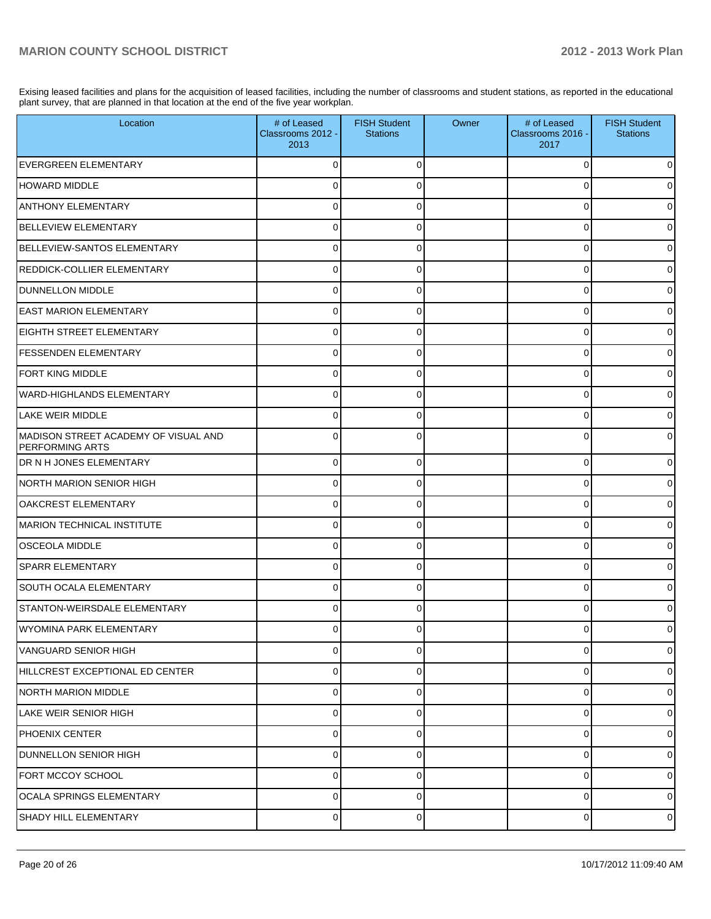Exising leased facilities and plans for the acquisition of leased facilities, including the number of classrooms and student stations, as reported in the educational plant survey, that are planned in that location at the end of the five year workplan.

| Location                                                        | # of Leased<br>Classrooms 2012 -<br>2013 | <b>FISH Student</b><br><b>Stations</b> | Owner | # of Leased<br>Classrooms 2016 -<br>2017 | <b>FISH Student</b><br><b>Stations</b> |
|-----------------------------------------------------------------|------------------------------------------|----------------------------------------|-------|------------------------------------------|----------------------------------------|
| <b>EVERGREEN ELEMENTARY</b>                                     | 0                                        | $\Omega$                               |       | 0                                        | 0                                      |
| <b>HOWARD MIDDLE</b>                                            | 0                                        | $\Omega$                               |       | O                                        | 0                                      |
| <b>ANTHONY ELEMENTARY</b>                                       | 0                                        | $\Omega$                               |       | 0                                        | 0                                      |
| <b>BELLEVIEW ELEMENTARY</b>                                     | 0                                        | $\Omega$                               |       | $\Omega$                                 | $\overline{0}$                         |
| BELLEVIEW-SANTOS ELEMENTARY                                     | 0                                        | 0                                      |       | 0                                        | $\overline{0}$                         |
| REDDICK-COLLIER ELEMENTARY                                      | $\mathbf 0$                              | $\Omega$                               |       | $\Omega$                                 | $\overline{0}$                         |
| <b>DUNNELLON MIDDLE</b>                                         | 0                                        | 0                                      |       | 0                                        | $\overline{0}$                         |
| <b>EAST MARION ELEMENTARY</b>                                   | $\mathbf 0$                              | $\Omega$                               |       | O                                        | $\overline{0}$                         |
| <b>EIGHTH STREET ELEMENTARY</b>                                 | 0                                        | 0                                      |       | 0                                        | 0                                      |
| <b>FESSENDEN ELEMENTARY</b>                                     | 0                                        | $\Omega$                               |       | O                                        | $\overline{0}$                         |
| <b>FORT KING MIDDLE</b>                                         | 0                                        | 0                                      |       | 0                                        | $\overline{0}$                         |
| WARD-HIGHLANDS ELEMENTARY                                       | $\mathbf 0$                              | $\Omega$                               |       | O                                        | $\overline{0}$                         |
| LAKE WEIR MIDDLE                                                | $\Omega$                                 | $\Omega$                               |       | 0                                        | $\overline{0}$                         |
| IMADISON STREET ACADEMY OF VISUAL AND<br><b>PERFORMING ARTS</b> | $\Omega$                                 | $\Omega$                               |       | O                                        | $\overline{0}$                         |
| <b>DR N H JONES ELEMENTARY</b>                                  | $\mathbf 0$                              | $\Omega$                               |       | $\Omega$                                 | $\overline{0}$                         |
| NORTH MARION SENIOR HIGH                                        | $\Omega$                                 | $\Omega$                               |       | O                                        | $\overline{0}$                         |
| <b>OAKCREST ELEMENTARY</b>                                      | $\Omega$                                 | $\Omega$                               |       | $\Omega$                                 | $\overline{0}$                         |
| MARION TECHNICAL INSTITUTE                                      | $\Omega$                                 | $\Omega$                               |       | U                                        | $\overline{0}$                         |
| <b>OSCEOLA MIDDLE</b>                                           | $\Omega$                                 | $\Omega$                               |       | $\Omega$                                 | $\overline{0}$                         |
| <b>SPARR ELEMENTARY</b>                                         | $\Omega$                                 | $\Omega$                               |       | 0                                        | $\overline{0}$                         |
| SOUTH OCALA ELEMENTARY                                          | $\Omega$                                 | $\Omega$                               |       | $\Omega$                                 | $\overline{0}$                         |
| STANTON-WEIRSDALE ELEMENTARY                                    | $\Omega$                                 |                                        |       | n                                        | 0                                      |
| WYOMINA PARK ELEMENTARY                                         |                                          |                                        |       |                                          | $\Omega$                               |
| VANGUARD SENIOR HIGH                                            | 0                                        | $\Omega$                               |       | $\Omega$                                 | $\overline{0}$                         |
| HILLCREST EXCEPTIONAL ED CENTER                                 | $\mathbf 0$                              | $\Omega$                               |       | $\Omega$                                 | $\overline{0}$                         |
| NORTH MARION MIDDLE                                             | $\mathbf 0$                              | $\Omega$                               |       | 0                                        | $\overline{0}$                         |
| <b>LAKE WEIR SENIOR HIGH</b>                                    | 0                                        | $\Omega$                               |       | 0                                        | $\overline{0}$                         |
| PHOENIX CENTER                                                  | $\mathbf 0$                              | $\Omega$                               |       | 0                                        | $\overline{0}$                         |
| <b>DUNNELLON SENIOR HIGH</b>                                    | $\mathbf 0$                              | $\Omega$                               |       | 0                                        | $\overline{0}$                         |
| FORT MCCOY SCHOOL                                               | $\mathbf 0$                              | $\Omega$                               |       | 0                                        | $\overline{0}$                         |
| OCALA SPRINGS ELEMENTARY                                        | $\mathbf 0$                              | $\Omega$                               |       | 0                                        | $\overline{0}$                         |
| SHADY HILL ELEMENTARY                                           | $\overline{0}$                           | 0                                      |       | $\mathbf 0$                              | $\overline{0}$                         |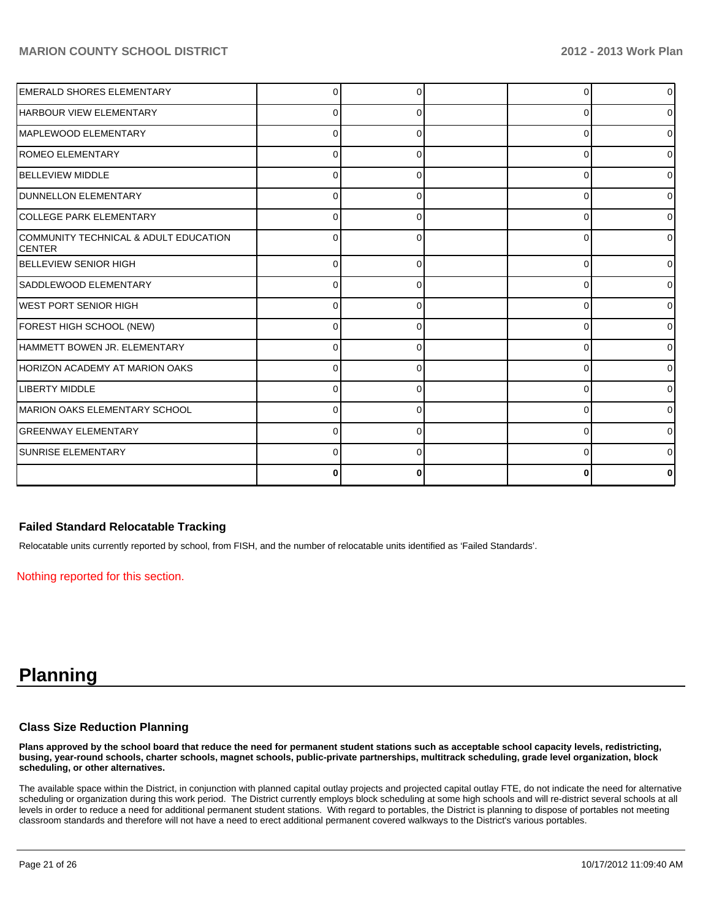| <b>EMERALD SHORES ELEMENTARY</b>                 |          |  |          | $\overline{0}$ |
|--------------------------------------------------|----------|--|----------|----------------|
| <b>HARBOUR VIEW ELEMENTARY</b>                   | O        |  | 0        | $\overline{0}$ |
| MAPLEWOOD ELEMENTARY                             | $\Omega$ |  | 0        | $\overline{0}$ |
| <b>ROMEO ELEMENTARY</b>                          | $\Omega$ |  | n        | $\overline{0}$ |
| <b>BELLEVIEW MIDDLE</b>                          | 0        |  | ŋ        | $\overline{0}$ |
| <b>DUNNELLON ELEMENTARY</b>                      | $\Omega$ |  | n        | $\Omega$       |
| COLLEGE PARK ELEMENTARY                          | $\Omega$ |  | n        | $\overline{0}$ |
| COMMUNITY TECHNICAL & ADULT EDUCATION<br>ICENTER | $\Omega$ |  | ∩        | $\Omega$       |
| <b>BELLEVIEW SENIOR HIGH</b>                     | 0        |  | $\Omega$ | $\overline{0}$ |
| SADDLEWOOD ELEMENTARY                            | ŋ        |  | C        | $\overline{0}$ |
| <b>WEST PORT SENIOR HIGH</b>                     | ŋ        |  | ∩        | $\overline{0}$ |
| FOREST HIGH SCHOOL (NEW)                         | ŋ        |  | C        | $\overline{0}$ |
| HAMMETT BOWEN JR. ELEMENTARY                     | U        |  | C        | $\overline{0}$ |
| HORIZON ACADEMY AT MARION OAKS                   | O        |  |          | $\Omega$       |
| LIBERTY MIDDLE                                   |          |  | C        | $\overline{0}$ |
| MARION OAKS ELEMENTARY SCHOOL                    | U        |  | ∩        | $\overline{0}$ |
| IGREENWAY ELEMENTARY                             | $\Omega$ |  | C        | $\overline{0}$ |
| <b>SUNRISE ELEMENTARY</b>                        | 0        |  | ∩        | $\overline{0}$ |
|                                                  | 0        |  |          | 0              |

#### **Failed Standard Relocatable Tracking**

Relocatable units currently reported by school, from FISH, and the number of relocatable units identified as 'Failed Standards'.

Nothing reported for this section.

# **Planning**

#### **Class Size Reduction Planning**

**Plans approved by the school board that reduce the need for permanent student stations such as acceptable school capacity levels, redistricting, busing, year-round schools, charter schools, magnet schools, public-private partnerships, multitrack scheduling, grade level organization, block scheduling, or other alternatives.**

The available space within the District, in conjunction with planned capital outlay projects and projected capital outlay FTE, do not indicate the need for alternative scheduling or organization during this work period. The District currently employs block scheduling at some high schools and will re-district several schools at all levels in order to reduce a need for additional permanent student stations. With regard to portables, the District is planning to dispose of portables not meeting classroom standards and therefore will not have a need to erect additional permanent covered walkways to the District's various portables.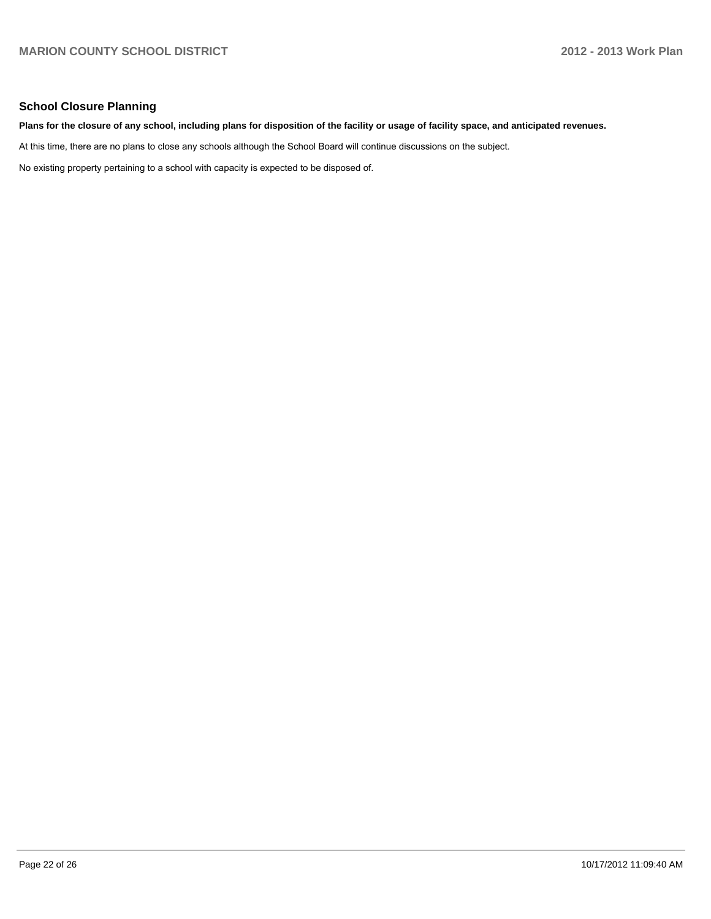#### **School Closure Planning**

#### **Plans for the closure of any school, including plans for disposition of the facility or usage of facility space, and anticipated revenues.**

At this time, there are no plans to close any schools although the School Board will continue discussions on the subject.

No existing property pertaining to a school with capacity is expected to be disposed of.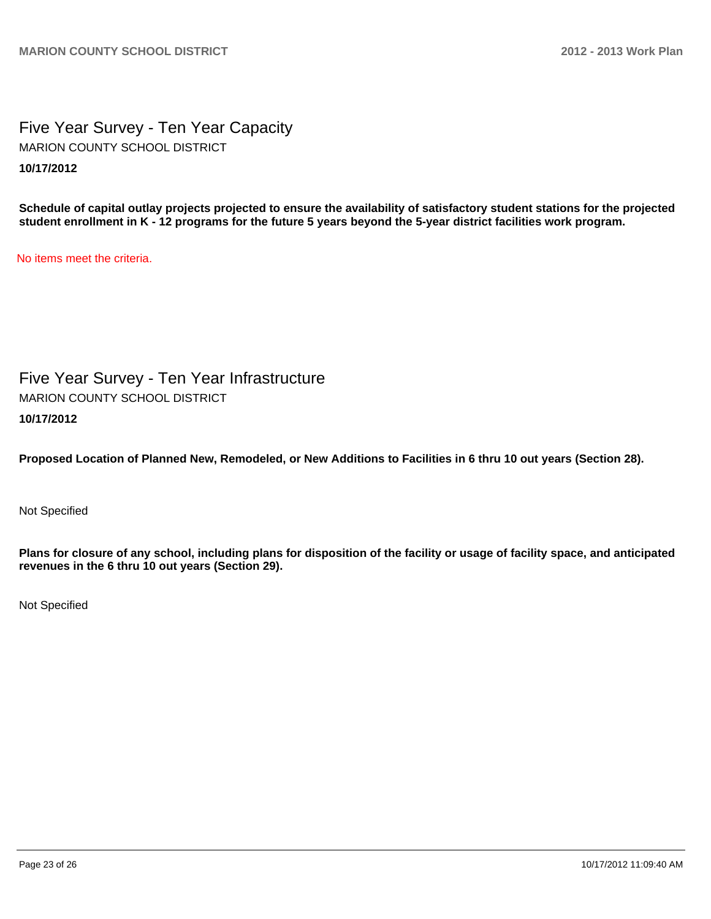Five Year Survey - Ten Year Capacity **10/17/2012** MARION COUNTY SCHOOL DISTRICT

**Schedule of capital outlay projects projected to ensure the availability of satisfactory student stations for the projected student enrollment in K - 12 programs for the future 5 years beyond the 5-year district facilities work program.**

No items meet the criteria.

Five Year Survey - Ten Year Infrastructure **10/17/2012** MARION COUNTY SCHOOL DISTRICT

**Proposed Location of Planned New, Remodeled, or New Additions to Facilities in 6 thru 10 out years (Section 28).**

Not Specified

**Plans for closure of any school, including plans for disposition of the facility or usage of facility space, and anticipated revenues in the 6 thru 10 out years (Section 29).**

Not Specified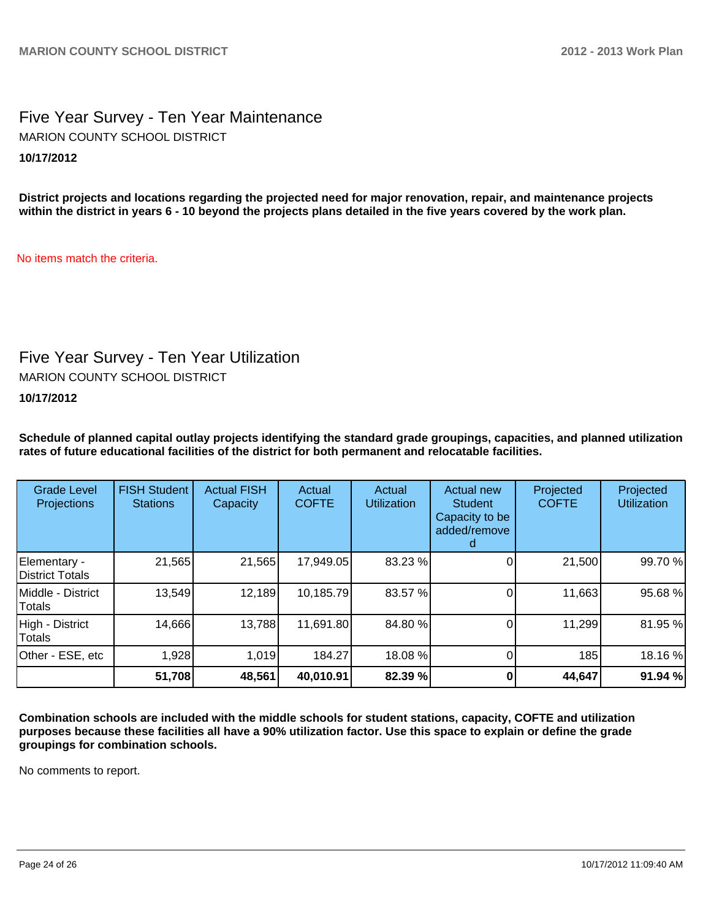## Five Year Survey - Ten Year Maintenance **10/17/2012** MARION COUNTY SCHOOL DISTRICT

**District projects and locations regarding the projected need for major renovation, repair, and maintenance projects within the district in years 6 - 10 beyond the projects plans detailed in the five years covered by the work plan.**

No items match the criteria.

## Five Year Survey - Ten Year Utilization

MARION COUNTY SCHOOL DISTRICT

**10/17/2012**

**Schedule of planned capital outlay projects identifying the standard grade groupings, capacities, and planned utilization rates of future educational facilities of the district for both permanent and relocatable facilities.**

| <b>Grade Level</b><br>Projections | <b>FISH Student</b><br><b>Stations</b> | <b>Actual FISH</b><br>Capacity | Actual<br><b>COFTE</b> | Actual<br><b>Utilization</b> | Actual new<br><b>Student</b><br>Capacity to be<br>added/remove | Projected<br><b>COFTE</b> | Projected<br><b>Utilization</b> |
|-----------------------------------|----------------------------------------|--------------------------------|------------------------|------------------------------|----------------------------------------------------------------|---------------------------|---------------------------------|
| Elementary -<br>District Totals   | 21,565                                 | 21,565                         | 17,949.05              | 83.23 %                      |                                                                | 21,500                    | 99.70 %                         |
| Middle - District<br>Totals       | 13,549                                 | 12,189                         | 10,185.79              | 83.57 %                      |                                                                | 11,663                    | 95.68%                          |
| High - District<br>Totals         | 14,666                                 | 13,788                         | 11,691.80              | 84.80 %                      |                                                                | 11,299                    | 81.95%                          |
| Other - ESE, etc                  | 1,928                                  | 1,019                          | 184.27                 | 18.08 %                      |                                                                | 185                       | 18.16%                          |
|                                   | 51,708                                 | 48,561                         | 40,010.91              | 82.39 %                      |                                                                | 44,647                    | 91.94 %                         |

**Combination schools are included with the middle schools for student stations, capacity, COFTE and utilization purposes because these facilities all have a 90% utilization factor. Use this space to explain or define the grade groupings for combination schools.**

No comments to report.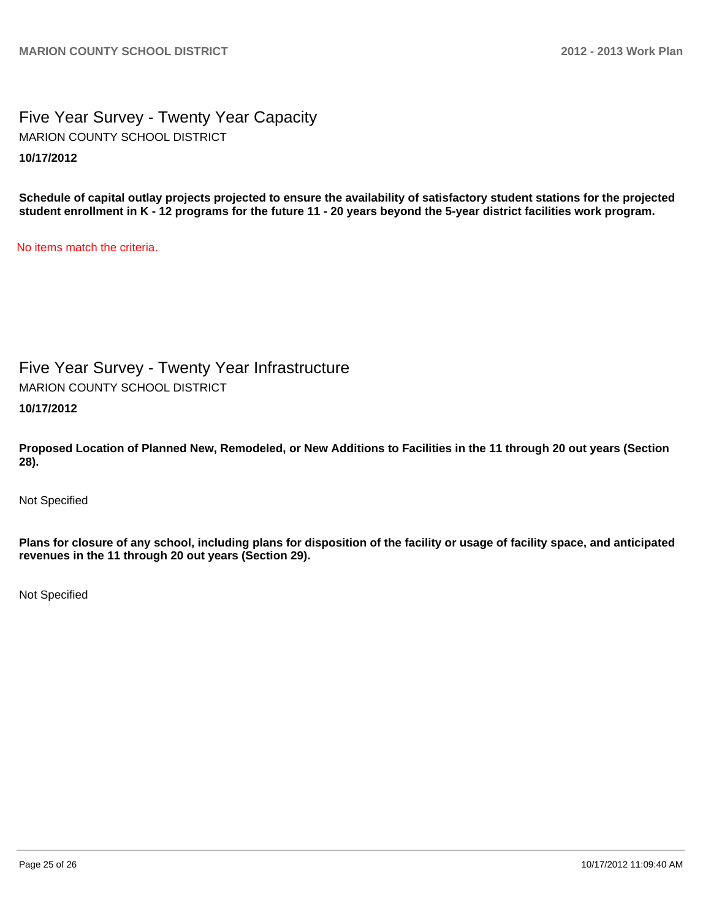## Five Year Survey - Twenty Year Capacity **10/17/2012** MARION COUNTY SCHOOL DISTRICT

**Schedule of capital outlay projects projected to ensure the availability of satisfactory student stations for the projected student enrollment in K - 12 programs for the future 11 - 20 years beyond the 5-year district facilities work program.**

No items match the criteria.

Five Year Survey - Twenty Year Infrastructure MARION COUNTY SCHOOL DISTRICT

**10/17/2012**

**Proposed Location of Planned New, Remodeled, or New Additions to Facilities in the 11 through 20 out years (Section 28).**

Not Specified

**Plans for closure of any school, including plans for disposition of the facility or usage of facility space, and anticipated revenues in the 11 through 20 out years (Section 29).**

Not Specified